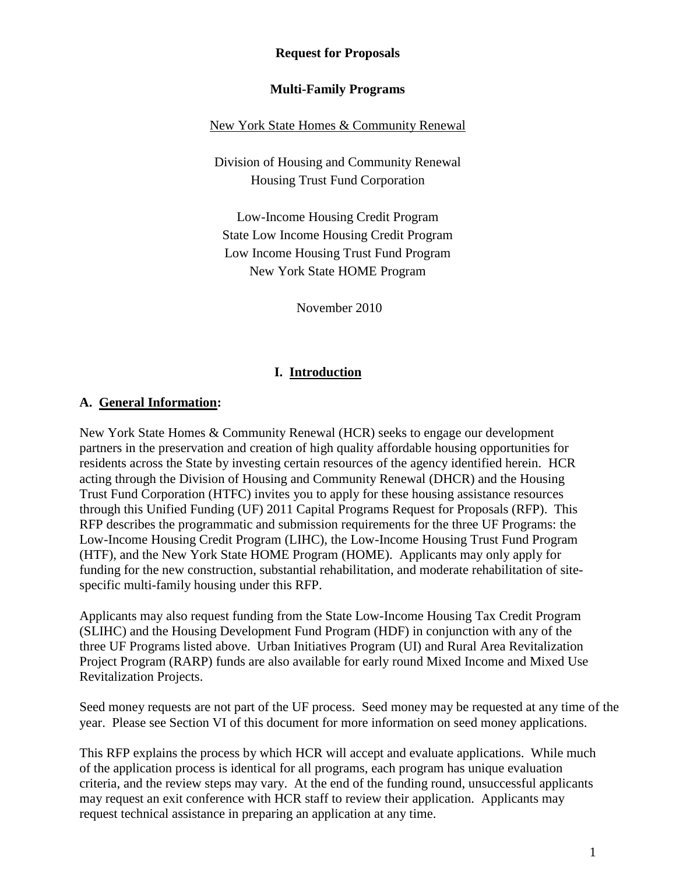**Request for Proposals**

#### **Multi-Family Programs**

#### New York State Homes & Community Renewal

Division of Housing and Community Renewal Housing Trust Fund Corporation

Low-Income Housing Credit Program State Low Income Housing Credit Program Low Income Housing Trust Fund Program New York State HOME Program

November 2010

#### **I. Introduction**

#### **A. General Information:**

New York State Homes & Community Renewal (HCR) seeks to engage our development partners in the preservation and creation of high quality affordable housing opportunities for residents across the State by investing certain resources of the agency identified herein. HCR acting through the Division of Housing and Community Renewal (DHCR) and the Housing Trust Fund Corporation (HTFC) invites you to apply for these housing assistance resources through this Unified Funding (UF) 2011 Capital Programs Request for Proposals (RFP). This RFP describes the programmatic and submission requirements for the three UF Programs: the Low-Income Housing Credit Program (LIHC), the Low-Income Housing Trust Fund Program (HTF), and the New York State HOME Program (HOME). Applicants may only apply for funding for the new construction, substantial rehabilitation, and moderate rehabilitation of sitespecific multi-family housing under this RFP.

Applicants may also request funding from the State Low-Income Housing Tax Credit Program (SLIHC) and the Housing Development Fund Program (HDF) in conjunction with any of the three UF Programs listed above. Urban Initiatives Program (UI) and Rural Area Revitalization Project Program (RARP) funds are also available for early round Mixed Income and Mixed Use Revitalization Projects.

Seed money requests are not part of the UF process. Seed money may be requested at any time of the year. Please see Section VI of this document for more information on seed money applications.

This RFP explains the process by which HCR will accept and evaluate applications. While much of the application process is identical for all programs, each program has unique evaluation criteria, and the review steps may vary. At the end of the funding round, unsuccessful applicants may request an exit conference with HCR staff to review their application. Applicants may request technical assistance in preparing an application at any time.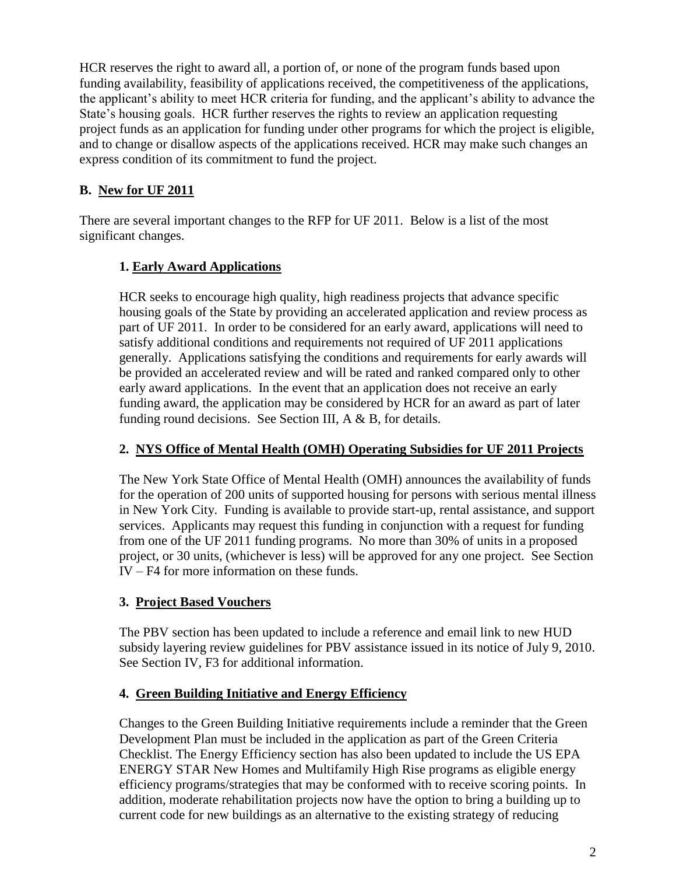HCR reserves the right to award all, a portion of, or none of the program funds based upon funding availability, feasibility of applications received, the competitiveness of the applications, the applicant's ability to meet HCR criteria for funding, and the applicant's ability to advance the State"s housing goals. HCR further reserves the rights to review an application requesting project funds as an application for funding under other programs for which the project is eligible, and to change or disallow aspects of the applications received. HCR may make such changes an express condition of its commitment to fund the project.

# **B. New for UF 2011**

There are several important changes to the RFP for UF 2011. Below is a list of the most significant changes.

# **1. Early Award Applications**

HCR seeks to encourage high quality, high readiness projects that advance specific housing goals of the State by providing an accelerated application and review process as part of UF 2011. In order to be considered for an early award, applications will need to satisfy additional conditions and requirements not required of UF 2011 applications generally. Applications satisfying the conditions and requirements for early awards will be provided an accelerated review and will be rated and ranked compared only to other early award applications. In the event that an application does not receive an early funding award, the application may be considered by HCR for an award as part of later funding round decisions. See Section III,  $A \& B$ , for details.

# **2. NYS Office of Mental Health (OMH) Operating Subsidies for UF 2011 Projects**

The New York State Office of Mental Health (OMH) announces the availability of funds for the operation of 200 units of supported housing for persons with serious mental illness in New York City. Funding is available to provide start-up, rental assistance, and support services. Applicants may request this funding in conjunction with a request for funding from one of the UF 2011 funding programs. No more than 30% of units in a proposed project, or 30 units, (whichever is less) will be approved for any one project. See Section IV – F4 for more information on these funds.

# **3. Project Based Vouchers**

The PBV section has been updated to include a reference and email link to new HUD subsidy layering review guidelines for PBV assistance issued in its notice of July 9, 2010. See Section IV, F3 for additional information.

### **4. Green Building Initiative and Energy Efficiency**

Changes to the Green Building Initiative requirements include a reminder that the Green Development Plan must be included in the application as part of the Green Criteria Checklist. The Energy Efficiency section has also been updated to include the US EPA ENERGY STAR New Homes and Multifamily High Rise programs as eligible energy efficiency programs/strategies that may be conformed with to receive scoring points. In addition, moderate rehabilitation projects now have the option to bring a building up to current code for new buildings as an alternative to the existing strategy of reducing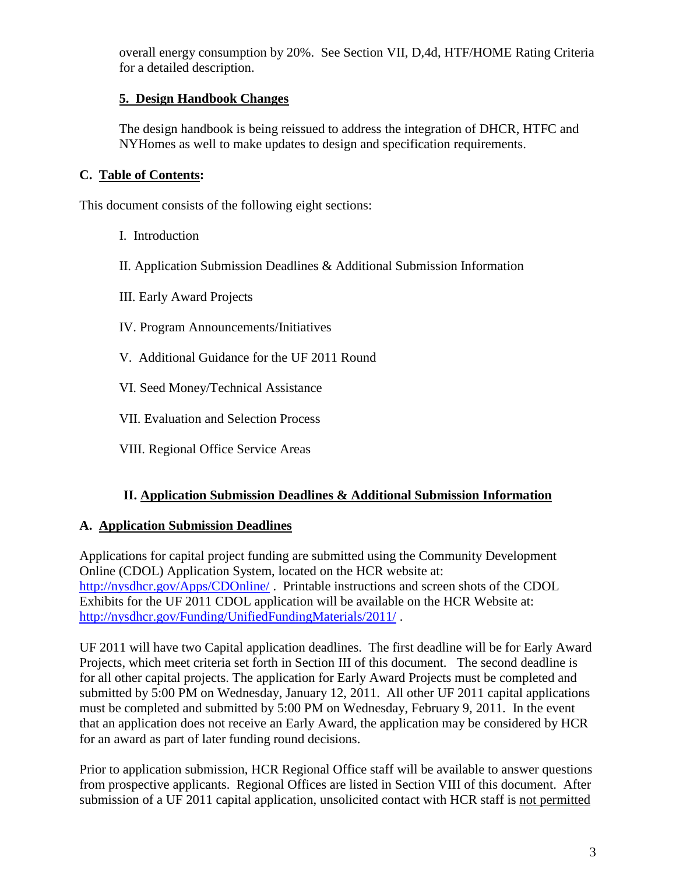overall energy consumption by 20%. See Section VII, D,4d, HTF/HOME Rating Criteria for a detailed description.

## **5. Design Handbook Changes**

The design handbook is being reissued to address the integration of DHCR, HTFC and NYHomes as well to make updates to design and specification requirements.

### **C. Table of Contents:**

This document consists of the following eight sections:

- I. Introduction
- II. Application Submission Deadlines & Additional Submission Information
- III. Early Award Projects
- IV. Program Announcements/Initiatives
- V. Additional Guidance for the UF 2011 Round
- VI. Seed Money/Technical Assistance
- VII. Evaluation and Selection Process
- VIII. Regional Office Service Areas

### **II. Application Submission Deadlines & Additional Submission Information**

#### **A. Application Submission Deadlines**

Applications for capital project funding are submitted using the Community Development Online (CDOL) Application System, located on the HCR website at: <http://nysdhcr.gov/Apps/CDOnline/>. Printable instructions and screen shots of the CDOL Exhibits for the UF 2011 CDOL application will be available on the HCR Website at: <http://nysdhcr.gov/Funding/UnifiedFundingMaterials/2011/> .

UF 2011 will have two Capital application deadlines. The first deadline will be for Early Award Projects, which meet criteria set forth in Section III of this document. The second deadline is for all other capital projects. The application for Early Award Projects must be completed and submitted by 5:00 PM on Wednesday, January 12, 2011. All other UF 2011 capital applications must be completed and submitted by 5:00 PM on Wednesday, February 9, 2011. In the event that an application does not receive an Early Award, the application may be considered by HCR for an award as part of later funding round decisions.

Prior to application submission, HCR Regional Office staff will be available to answer questions from prospective applicants. Regional Offices are listed in Section VIII of this document. After submission of a UF 2011 capital application, unsolicited contact with HCR staff is not permitted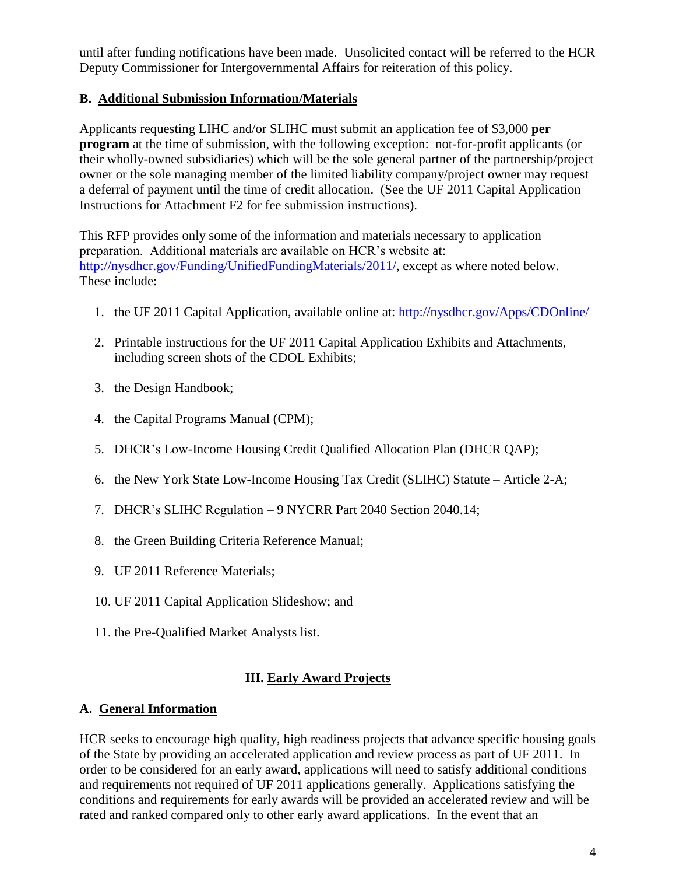until after funding notifications have been made. Unsolicited contact will be referred to the HCR Deputy Commissioner for Intergovernmental Affairs for reiteration of this policy.

### **B. Additional Submission Information/Materials**

Applicants requesting LIHC and/or SLIHC must submit an application fee of \$3,000 **per program** at the time of submission, with the following exception: not-for-profit applicants (or their wholly-owned subsidiaries) which will be the sole general partner of the partnership/project owner or the sole managing member of the limited liability company/project owner may request a deferral of payment until the time of credit allocation. (See the UF 2011 Capital Application Instructions for Attachment F2 for fee submission instructions).

This RFP provides only some of the information and materials necessary to application preparation. Additional materials are available on HCR"s website at: [http://nysdhcr.gov/Funding/UnifiedFundingMaterials/2011/,](http://nysdhcr.gov/Funding/UnifiedFundingMaterials/2011/) except as where noted below. These include:

- 1. the UF 2011 Capital Application, available online at: <http://nysdhcr.gov/Apps/CDOnline/>
- 2. Printable instructions for the UF 2011 Capital Application Exhibits and Attachments, including screen shots of the CDOL Exhibits;
- 3. the Design Handbook;
- 4. the Capital Programs Manual (CPM);
- 5. DHCR"s Low-Income Housing Credit Qualified Allocation Plan (DHCR QAP);
- 6. the New York State Low-Income Housing Tax Credit (SLIHC) Statute Article 2-A;
- 7. DHCR"s SLIHC Regulation 9 NYCRR Part 2040 Section 2040.14;
- 8. the Green Building Criteria Reference Manual;
- 9. UF 2011 Reference Materials;
- 10. UF 2011 Capital Application Slideshow; and
- 11. the Pre-Qualified Market Analysts list.

# **III. Early Award Projects**

# **A. General Information**

HCR seeks to encourage high quality, high readiness projects that advance specific housing goals of the State by providing an accelerated application and review process as part of UF 2011. In order to be considered for an early award, applications will need to satisfy additional conditions and requirements not required of UF 2011 applications generally. Applications satisfying the conditions and requirements for early awards will be provided an accelerated review and will be rated and ranked compared only to other early award applications. In the event that an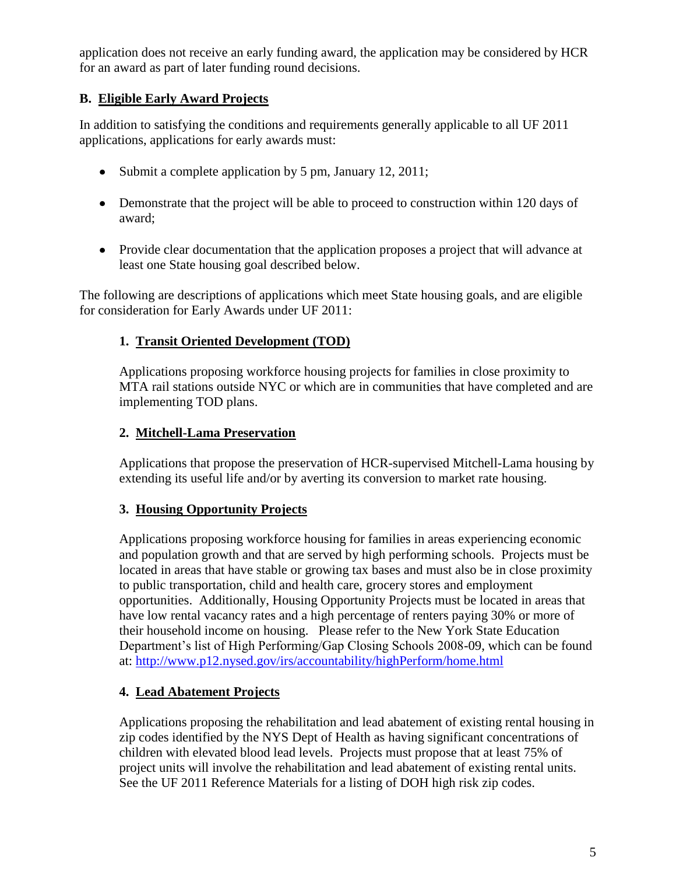application does not receive an early funding award, the application may be considered by HCR for an award as part of later funding round decisions.

# **B. Eligible Early Award Projects**

In addition to satisfying the conditions and requirements generally applicable to all UF 2011 applications, applications for early awards must:

- Submit a complete application by 5 pm, January 12, 2011;
- Demonstrate that the project will be able to proceed to construction within 120 days of award;
- Provide clear documentation that the application proposes a project that will advance at least one State housing goal described below.

The following are descriptions of applications which meet State housing goals, and are eligible for consideration for Early Awards under UF 2011:

# **1. Transit Oriented Development (TOD)**

Applications proposing workforce housing projects for families in close proximity to MTA rail stations outside NYC or which are in communities that have completed and are implementing TOD plans.

# **2. Mitchell-Lama Preservation**

Applications that propose the preservation of HCR-supervised Mitchell-Lama housing by extending its useful life and/or by averting its conversion to market rate housing.

### **3. Housing Opportunity Projects**

Applications proposing workforce housing for families in areas experiencing economic and population growth and that are served by high performing schools. Projects must be located in areas that have stable or growing tax bases and must also be in close proximity to public transportation, child and health care, grocery stores and employment opportunities. Additionally, Housing Opportunity Projects must be located in areas that have low rental vacancy rates and a high percentage of renters paying 30% or more of their household income on housing. Please refer to the New York State Education Department's list of High Performing/Gap Closing Schools 2008-09, which can be found at:<http://www.p12.nysed.gov/irs/accountability/highPerform/home.html>

# **4. Lead Abatement Projects**

Applications proposing the rehabilitation and lead abatement of existing rental housing in zip codes identified by the NYS Dept of Health as having significant concentrations of children with elevated blood lead levels. Projects must propose that at least 75% of project units will involve the rehabilitation and lead abatement of existing rental units. See the UF 2011 Reference Materials for a listing of DOH high risk zip codes.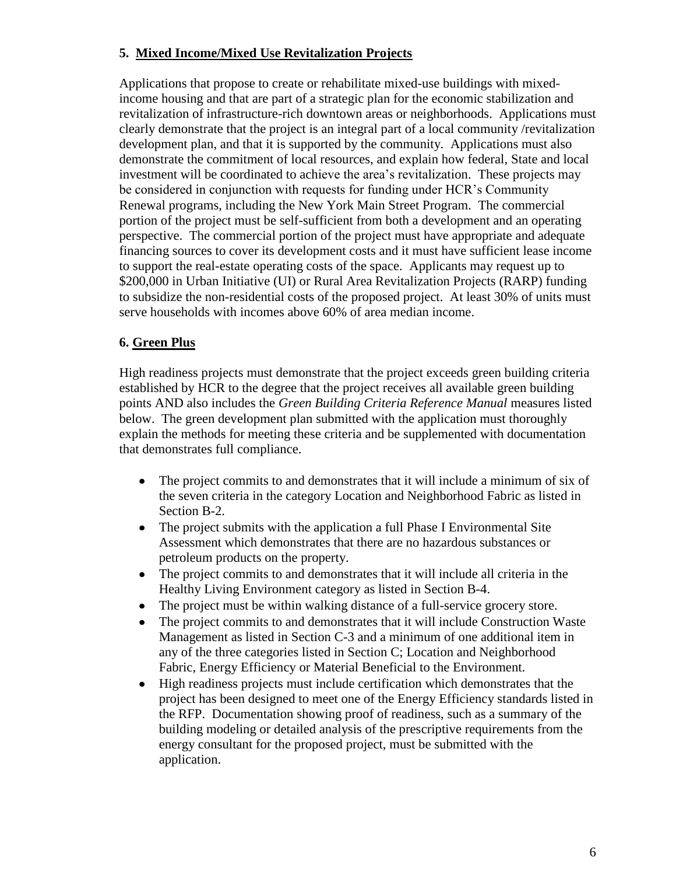## **5. Mixed Income/Mixed Use Revitalization Projects**

Applications that propose to create or rehabilitate mixed-use buildings with mixedincome housing and that are part of a strategic plan for the economic stabilization and revitalization of infrastructure-rich downtown areas or neighborhoods. Applications must clearly demonstrate that the project is an integral part of a local community /revitalization development plan, and that it is supported by the community. Applications must also demonstrate the commitment of local resources, and explain how federal, State and local investment will be coordinated to achieve the area"s revitalization. These projects may be considered in conjunction with requests for funding under HCR"s Community Renewal programs, including the New York Main Street Program. The commercial portion of the project must be self-sufficient from both a development and an operating perspective. The commercial portion of the project must have appropriate and adequate financing sources to cover its development costs and it must have sufficient lease income to support the real-estate operating costs of the space. Applicants may request up to \$200,000 in Urban Initiative (UI) or Rural Area Revitalization Projects (RARP) funding to subsidize the non-residential costs of the proposed project. At least 30% of units must serve households with incomes above 60% of area median income.

### **6. Green Plus**

High readiness projects must demonstrate that the project exceeds green building criteria established by HCR to the degree that the project receives all available green building points AND also includes the *Green Building Criteria Reference Manual* measures listed below. The green development plan submitted with the application must thoroughly explain the methods for meeting these criteria and be supplemented with documentation that demonstrates full compliance.

- The project commits to and demonstrates that it will include a minimum of six of  $\bullet$ the seven criteria in the category Location and Neighborhood Fabric as listed in Section B-2.
- $\bullet$ The project submits with the application a full Phase I Environmental Site Assessment which demonstrates that there are no hazardous substances or petroleum products on the property.
- The project commits to and demonstrates that it will include all criteria in the  $\bullet$ Healthy Living Environment category as listed in Section B-4.
- The project must be within walking distance of a full-service grocery store.  $\bullet$
- The project commits to and demonstrates that it will include Construction Waste  $\bullet$ Management as listed in Section C-3 and a minimum of one additional item in any of the three categories listed in Section C; Location and Neighborhood Fabric, Energy Efficiency or Material Beneficial to the Environment.
- High readiness projects must include certification which demonstrates that the  $\bullet$ project has been designed to meet one of the Energy Efficiency standards listed in the RFP. Documentation showing proof of readiness, such as a summary of the building modeling or detailed analysis of the prescriptive requirements from the energy consultant for the proposed project, must be submitted with the application.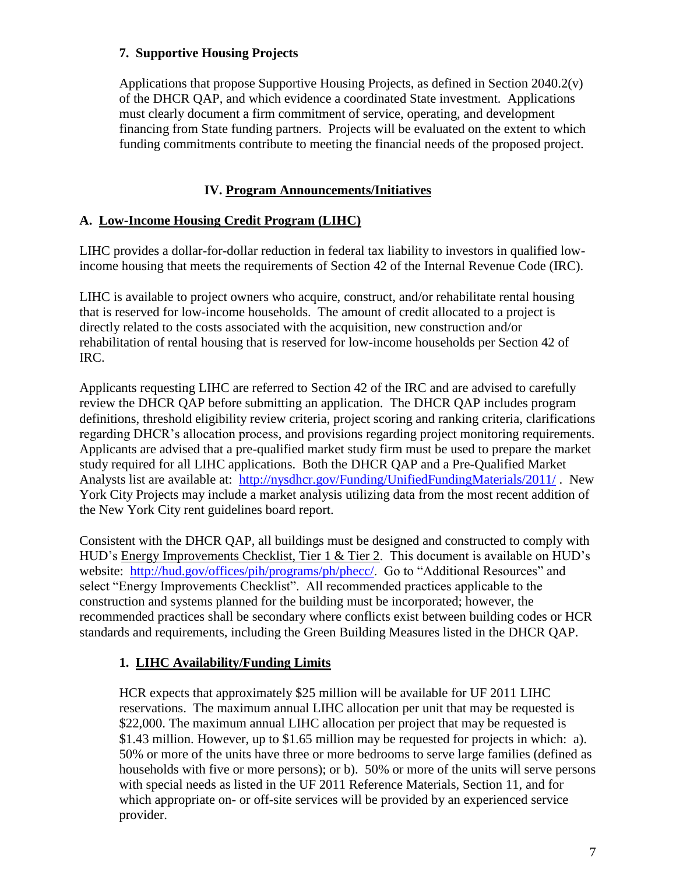### **7. Supportive Housing Projects**

Applications that propose Supportive Housing Projects, as defined in Section 2040.2(v) of the DHCR QAP, and which evidence a coordinated State investment. Applications must clearly document a firm commitment of service, operating, and development financing from State funding partners. Projects will be evaluated on the extent to which funding commitments contribute to meeting the financial needs of the proposed project.

## **IV. Program Announcements/Initiatives**

### **A. Low-Income Housing Credit Program (LIHC)**

LIHC provides a dollar-for-dollar reduction in federal tax liability to investors in qualified lowincome housing that meets the requirements of Section 42 of the Internal Revenue Code (IRC).

LIHC is available to project owners who acquire, construct, and/or rehabilitate rental housing that is reserved for low-income households. The amount of credit allocated to a project is directly related to the costs associated with the acquisition, new construction and/or rehabilitation of rental housing that is reserved for low-income households per Section 42 of IRC.

Applicants requesting LIHC are referred to Section 42 of the IRC and are advised to carefully review the DHCR QAP before submitting an application. The DHCR QAP includes program definitions, threshold eligibility review criteria, project scoring and ranking criteria, clarifications regarding DHCR"s allocation process, and provisions regarding project monitoring requirements. Applicants are advised that a pre-qualified market study firm must be used to prepare the market study required for all LIHC applications. Both the DHCR QAP and a Pre-Qualified Market Analysts list are available at: <http://nysdhcr.gov/Funding/UnifiedFundingMaterials/2011/> . New York City Projects may include a market analysis utilizing data from the most recent addition of the New York City rent guidelines board report.

Consistent with the DHCR QAP, all buildings must be designed and constructed to comply with HUD"s Energy Improvements Checklist, Tier 1 & Tier 2. This document is available on HUD"s website: [http://hud.gov/offices/pih/programs/ph/phecc/.](http://hud.gov/offices/pih/programs/ph/phecc/) Go to "Additional Resources" and select "Energy Improvements Checklist". All recommended practices applicable to the construction and systems planned for the building must be incorporated; however, the recommended practices shall be secondary where conflicts exist between building codes or HCR standards and requirements, including the Green Building Measures listed in the DHCR QAP.

# **1. LIHC Availability/Funding Limits**

HCR expects that approximately \$25 million will be available for UF 2011 LIHC reservations. The maximum annual LIHC allocation per unit that may be requested is \$22,000. The maximum annual LIHC allocation per project that may be requested is \$1.43 million. However, up to \$1.65 million may be requested for projects in which: a). 50% or more of the units have three or more bedrooms to serve large families (defined as households with five or more persons); or b). 50% or more of the units will serve persons with special needs as listed in the UF 2011 Reference Materials, Section 11, and for which appropriate on- or off-site services will be provided by an experienced service provider.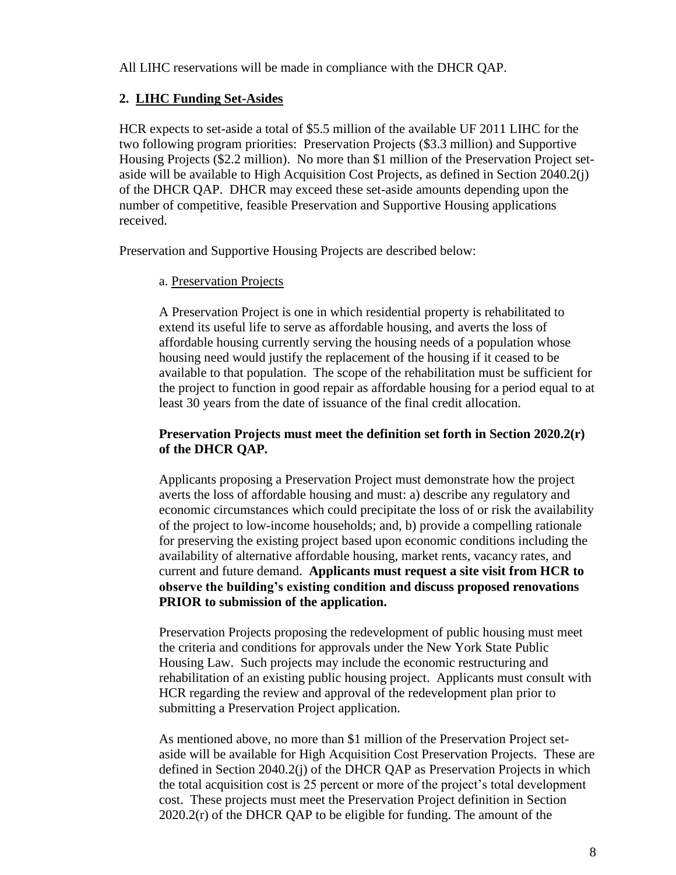All LIHC reservations will be made in compliance with the DHCR QAP.

## **2. LIHC Funding Set-Asides**

HCR expects to set-aside a total of \$5.5 million of the available UF 2011 LIHC for the two following program priorities: Preservation Projects (\$3.3 million) and Supportive Housing Projects (\$2.2 million). No more than \$1 million of the Preservation Project setaside will be available to High Acquisition Cost Projects, as defined in Section 2040.2(j) of the DHCR QAP. DHCR may exceed these set-aside amounts depending upon the number of competitive, feasible Preservation and Supportive Housing applications received.

Preservation and Supportive Housing Projects are described below:

### a. Preservation Projects

A Preservation Project is one in which residential property is rehabilitated to extend its useful life to serve as affordable housing, and averts the loss of affordable housing currently serving the housing needs of a population whose housing need would justify the replacement of the housing if it ceased to be available to that population. The scope of the rehabilitation must be sufficient for the project to function in good repair as affordable housing for a period equal to at least 30 years from the date of issuance of the final credit allocation.

### **Preservation Projects must meet the definition set forth in Section 2020.2(r) of the DHCR QAP.**

Applicants proposing a Preservation Project must demonstrate how the project averts the loss of affordable housing and must: a) describe any regulatory and economic circumstances which could precipitate the loss of or risk the availability of the project to low-income households; and, b) provide a compelling rationale for preserving the existing project based upon economic conditions including the availability of alternative affordable housing, market rents, vacancy rates, and current and future demand. **Applicants must request a site visit from HCR to observe the building's existing condition and discuss proposed renovations PRIOR to submission of the application.**

Preservation Projects proposing the redevelopment of public housing must meet the criteria and conditions for approvals under the New York State Public Housing Law. Such projects may include the economic restructuring and rehabilitation of an existing public housing project. Applicants must consult with HCR regarding the review and approval of the redevelopment plan prior to submitting a Preservation Project application.

As mentioned above, no more than \$1 million of the Preservation Project setaside will be available for High Acquisition Cost Preservation Projects. These are defined in Section 2040.2(j) of the DHCR QAP as Preservation Projects in which the total acquisition cost is 25 percent or more of the project"s total development cost. These projects must meet the Preservation Project definition in Section 2020.2(r) of the DHCR QAP to be eligible for funding. The amount of the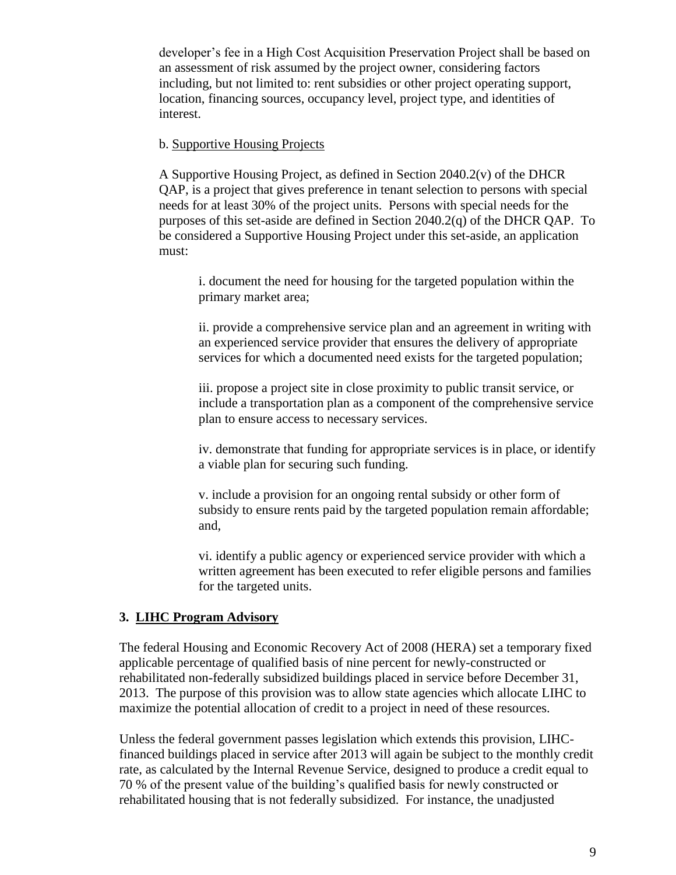developer"s fee in a High Cost Acquisition Preservation Project shall be based on an assessment of risk assumed by the project owner, considering factors including, but not limited to: rent subsidies or other project operating support, location, financing sources, occupancy level, project type, and identities of interest.

#### b. Supportive Housing Projects

A Supportive Housing Project, as defined in Section 2040.2(v) of the DHCR QAP, is a project that gives preference in tenant selection to persons with special needs for at least 30% of the project units. Persons with special needs for the purposes of this set-aside are defined in Section 2040.2(q) of the DHCR QAP. To be considered a Supportive Housing Project under this set-aside, an application must:

i. document the need for housing for the targeted population within the primary market area;

ii. provide a comprehensive service plan and an agreement in writing with an experienced service provider that ensures the delivery of appropriate services for which a documented need exists for the targeted population;

iii. propose a project site in close proximity to public transit service, or include a transportation plan as a component of the comprehensive service plan to ensure access to necessary services.

iv. demonstrate that funding for appropriate services is in place, or identify a viable plan for securing such funding.

v. include a provision for an ongoing rental subsidy or other form of subsidy to ensure rents paid by the targeted population remain affordable; and,

vi. identify a public agency or experienced service provider with which a written agreement has been executed to refer eligible persons and families for the targeted units.

#### **3. LIHC Program Advisory**

The federal Housing and Economic Recovery Act of 2008 (HERA) set a temporary fixed applicable percentage of qualified basis of nine percent for newly-constructed or rehabilitated non-federally subsidized buildings placed in service before December 31, 2013. The purpose of this provision was to allow state agencies which allocate LIHC to maximize the potential allocation of credit to a project in need of these resources.

Unless the federal government passes legislation which extends this provision, LIHCfinanced buildings placed in service after 2013 will again be subject to the monthly credit rate, as calculated by the Internal Revenue Service, designed to produce a credit equal to 70 % of the present value of the building"s qualified basis for newly constructed or rehabilitated housing that is not federally subsidized. For instance, the unadjusted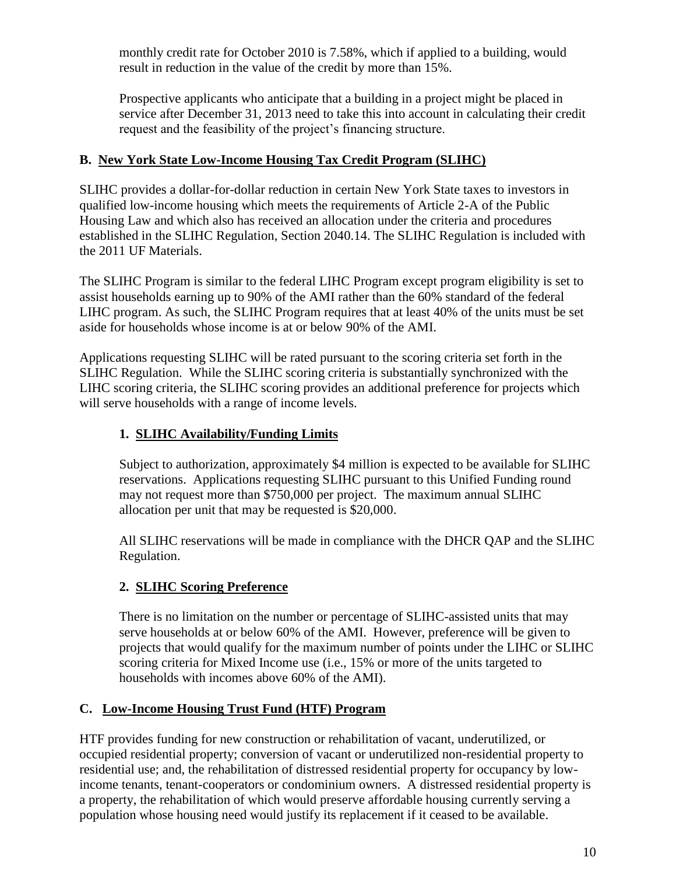monthly credit rate for October 2010 is 7.58%, which if applied to a building, would result in reduction in the value of the credit by more than 15%.

Prospective applicants who anticipate that a building in a project might be placed in service after December 31, 2013 need to take this into account in calculating their credit request and the feasibility of the project"s financing structure.

# **B. New York State Low-Income Housing Tax Credit Program (SLIHC)**

SLIHC provides a dollar-for-dollar reduction in certain New York State taxes to investors in qualified low-income housing which meets the requirements of Article 2-A of the Public Housing Law and which also has received an allocation under the criteria and procedures established in the SLIHC Regulation, Section 2040.14. The SLIHC Regulation is included with the 2011 UF Materials.

The SLIHC Program is similar to the federal LIHC Program except program eligibility is set to assist households earning up to 90% of the AMI rather than the 60% standard of the federal LIHC program. As such, the SLIHC Program requires that at least 40% of the units must be set aside for households whose income is at or below 90% of the AMI.

Applications requesting SLIHC will be rated pursuant to the scoring criteria set forth in the SLIHC Regulation. While the SLIHC scoring criteria is substantially synchronized with the LIHC scoring criteria, the SLIHC scoring provides an additional preference for projects which will serve households with a range of income levels.

# **1. SLIHC Availability/Funding Limits**

Subject to authorization, approximately \$4 million is expected to be available for SLIHC reservations.Applications requesting SLIHC pursuant to this Unified Funding round may not request more than \$750,000 per project. The maximum annual SLIHC allocation per unit that may be requested is \$20,000.

All SLIHC reservations will be made in compliance with the DHCR QAP and the SLIHC Regulation.

# **2. SLIHC Scoring Preference**

There is no limitation on the number or percentage of SLIHC-assisted units that may serve households at or below 60% of the AMI. However, preference will be given to projects that would qualify for the maximum number of points under the LIHC or SLIHC scoring criteria for Mixed Income use (i.e., 15% or more of the units targeted to households with incomes above 60% of the AMI).

# **C. Low-Income Housing Trust Fund (HTF) Program**

HTF provides funding for new construction or rehabilitation of vacant, underutilized, or occupied residential property; conversion of vacant or underutilized non-residential property to residential use; and, the rehabilitation of distressed residential property for occupancy by lowincome tenants, tenant-cooperators or condominium owners. A distressed residential property is a property, the rehabilitation of which would preserve affordable housing currently serving a population whose housing need would justify its replacement if it ceased to be available.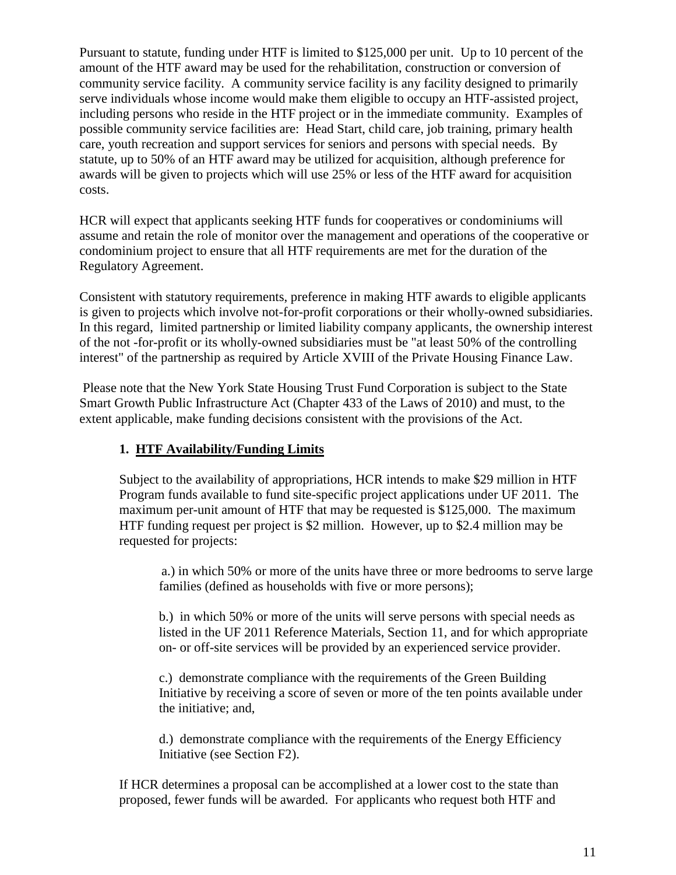Pursuant to statute, funding under HTF is limited to \$125,000 per unit. Up to 10 percent of the amount of the HTF award may be used for the rehabilitation, construction or conversion of community service facility. A community service facility is any facility designed to primarily serve individuals whose income would make them eligible to occupy an HTF-assisted project, including persons who reside in the HTF project or in the immediate community. Examples of possible community service facilities are: Head Start, child care, job training, primary health care, youth recreation and support services for seniors and persons with special needs. By statute, up to 50% of an HTF award may be utilized for acquisition, although preference for awards will be given to projects which will use 25% or less of the HTF award for acquisition costs.

HCR will expect that applicants seeking HTF funds for cooperatives or condominiums will assume and retain the role of monitor over the management and operations of the cooperative or condominium project to ensure that all HTF requirements are met for the duration of the Regulatory Agreement.

Consistent with statutory requirements, preference in making HTF awards to eligible applicants is given to projects which involve not-for-profit corporations or their wholly-owned subsidiaries. In this regard, limited partnership or limited liability company applicants, the ownership interest of the not -for-profit or its wholly-owned subsidiaries must be "at least 50% of the controlling interest" of the partnership as required by Article XVIII of the Private Housing Finance Law.

Please note that the New York State Housing Trust Fund Corporation is subject to the State Smart Growth Public Infrastructure Act (Chapter 433 of the Laws of 2010) and must, to the extent applicable, make funding decisions consistent with the provisions of the Act.

# **1. HTF Availability/Funding Limits**

Subject to the availability of appropriations, HCR intends to make \$29 million in HTF Program funds available to fund site-specific project applications under UF 2011. The maximum per-unit amount of HTF that may be requested is \$125,000. The maximum HTF funding request per project is \$2 million. However, up to \$2.4 million may be requested for projects:

a.) in which 50% or more of the units have three or more bedrooms to serve large families (defined as households with five or more persons);

b.) in which 50% or more of the units will serve persons with special needs as listed in the UF 2011 Reference Materials, Section 11, and for which appropriate on- or off-site services will be provided by an experienced service provider.

c.) demonstrate compliance with the requirements of the Green Building Initiative by receiving a score of seven or more of the ten points available under the initiative; and,

d.) demonstrate compliance with the requirements of the Energy Efficiency Initiative (see Section F2).

If HCR determines a proposal can be accomplished at a lower cost to the state than proposed, fewer funds will be awarded. For applicants who request both HTF and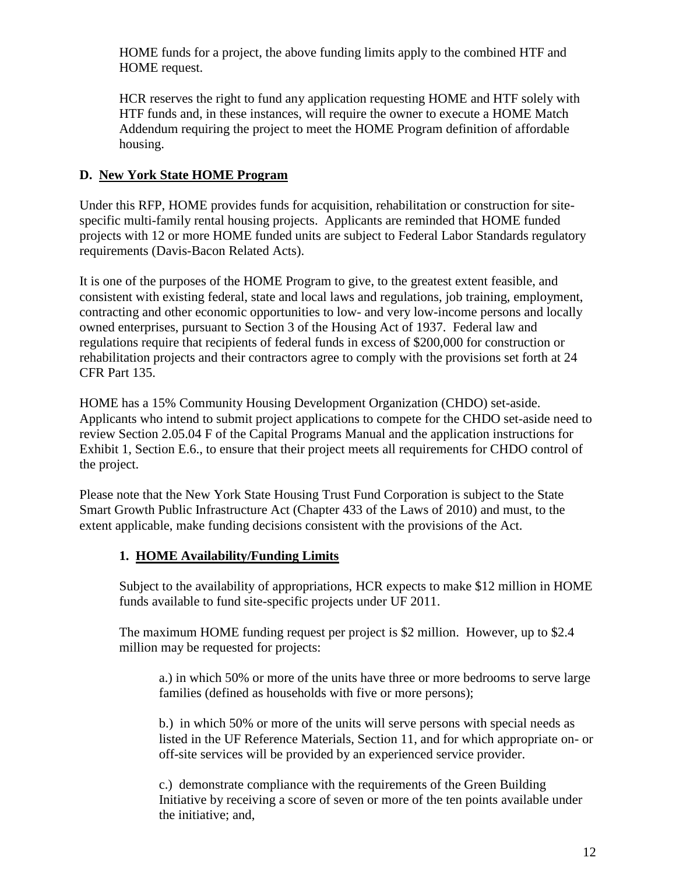HOME funds for a project, the above funding limits apply to the combined HTF and HOME request.

HCR reserves the right to fund any application requesting HOME and HTF solely with HTF funds and, in these instances, will require the owner to execute a HOME Match Addendum requiring the project to meet the HOME Program definition of affordable housing.

# **D. New York State HOME Program**

Under this RFP, HOME provides funds for acquisition, rehabilitation or construction for sitespecific multi-family rental housing projects. Applicants are reminded that HOME funded projects with 12 or more HOME funded units are subject to Federal Labor Standards regulatory requirements (Davis-Bacon Related Acts).

It is one of the purposes of the HOME Program to give, to the greatest extent feasible, and consistent with existing federal, state and local laws and regulations, job training, employment, contracting and other economic opportunities to low- and very low-income persons and locally owned enterprises, pursuant to Section 3 of the Housing Act of 1937. Federal law and regulations require that recipients of federal funds in excess of \$200,000 for construction or rehabilitation projects and their contractors agree to comply with the provisions set forth at 24 CFR Part 135.

HOME has a 15% Community Housing Development Organization (CHDO) set-aside. Applicants who intend to submit project applications to compete for the CHDO set-aside need to review Section 2.05.04 F of the Capital Programs Manual and the application instructions for Exhibit 1, Section E.6., to ensure that their project meets all requirements for CHDO control of the project.

Please note that the New York State Housing Trust Fund Corporation is subject to the State Smart Growth Public Infrastructure Act (Chapter 433 of the Laws of 2010) and must, to the extent applicable, make funding decisions consistent with the provisions of the Act.

# **1. HOME Availability/Funding Limits**

Subject to the availability of appropriations, HCR expects to make \$12 million in HOME funds available to fund site-specific projects under UF 2011.

The maximum HOME funding request per project is \$2 million. However, up to \$2.4 million may be requested for projects:

a.) in which 50% or more of the units have three or more bedrooms to serve large families (defined as households with five or more persons);

b.) in which 50% or more of the units will serve persons with special needs as listed in the UF Reference Materials, Section 11, and for which appropriate on- or off-site services will be provided by an experienced service provider.

c.) demonstrate compliance with the requirements of the Green Building Initiative by receiving a score of seven or more of the ten points available under the initiative; and,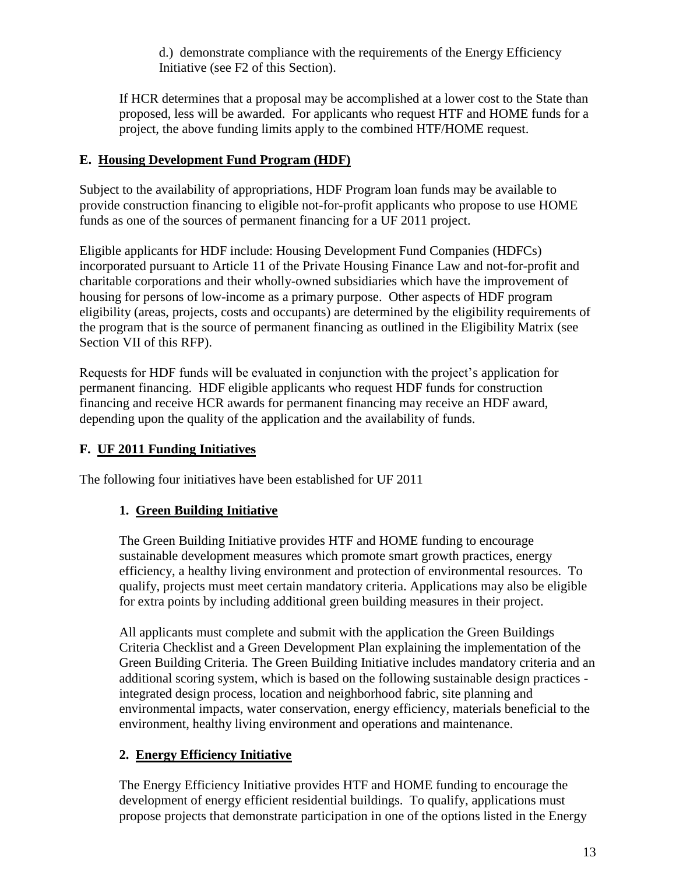d.) demonstrate compliance with the requirements of the Energy Efficiency Initiative (see F2 of this Section).

If HCR determines that a proposal may be accomplished at a lower cost to the State than proposed, less will be awarded. For applicants who request HTF and HOME funds for a project, the above funding limits apply to the combined HTF/HOME request.

## **E. Housing Development Fund Program (HDF)**

Subject to the availability of appropriations, HDF Program loan funds may be available to provide construction financing to eligible not-for-profit applicants who propose to use HOME funds as one of the sources of permanent financing for a UF 2011 project.

Eligible applicants for HDF include: Housing Development Fund Companies (HDFCs) incorporated pursuant to Article 11 of the Private Housing Finance Law and not-for-profit and charitable corporations and their wholly-owned subsidiaries which have the improvement of housing for persons of low-income as a primary purpose. Other aspects of HDF program eligibility (areas, projects, costs and occupants) are determined by the eligibility requirements of the program that is the source of permanent financing as outlined in the Eligibility Matrix (see Section VII of this RFP).

Requests for HDF funds will be evaluated in conjunction with the project"s application for permanent financing. HDF eligible applicants who request HDF funds for construction financing and receive HCR awards for permanent financing may receive an HDF award, depending upon the quality of the application and the availability of funds.

# **F. UF 2011 Funding Initiatives**

The following four initiatives have been established for UF 2011

# **1. Green Building Initiative**

The Green Building Initiative provides HTF and HOME funding to encourage sustainable development measures which promote smart growth practices, energy efficiency, a healthy living environment and protection of environmental resources. To qualify, projects must meet certain mandatory criteria. Applications may also be eligible for extra points by including additional green building measures in their project.

All applicants must complete and submit with the application the Green Buildings Criteria Checklist and a Green Development Plan explaining the implementation of the Green Building Criteria. The Green Building Initiative includes mandatory criteria and an additional scoring system, which is based on the following sustainable design practices integrated design process, location and neighborhood fabric, site planning and environmental impacts, water conservation, energy efficiency, materials beneficial to the environment, healthy living environment and operations and maintenance.

# **2. Energy Efficiency Initiative**

The Energy Efficiency Initiative provides HTF and HOME funding to encourage the development of energy efficient residential buildings. To qualify, applications must propose projects that demonstrate participation in one of the options listed in the Energy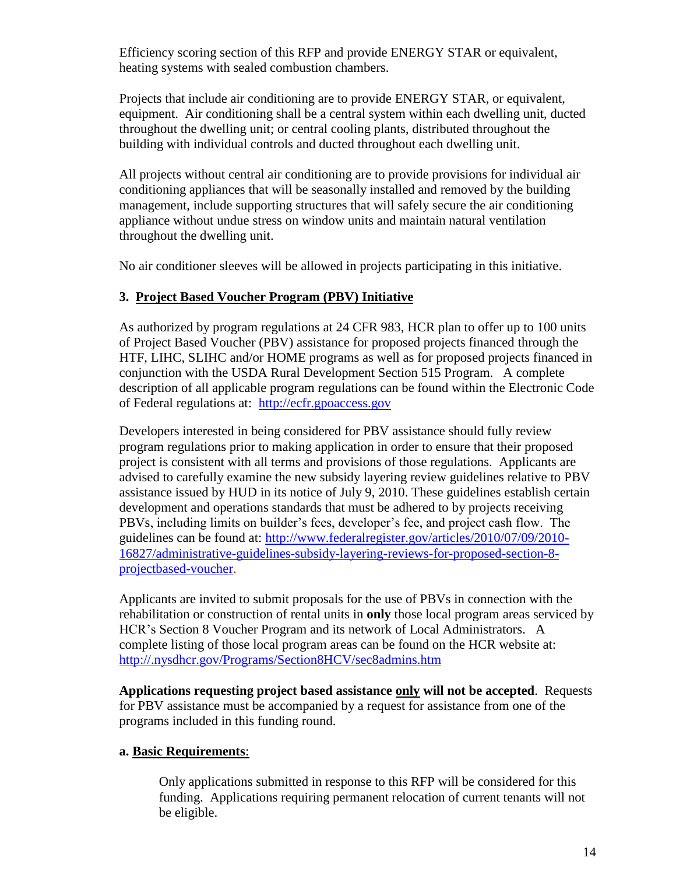Efficiency scoring section of this RFP and provide ENERGY STAR or equivalent, heating systems with sealed combustion chambers.

Projects that include air conditioning are to provide ENERGY STAR, or equivalent, equipment. Air conditioning shall be a central system within each dwelling unit, ducted throughout the dwelling unit; or central cooling plants, distributed throughout the building with individual controls and ducted throughout each dwelling unit.

All projects without central air conditioning are to provide provisions for individual air conditioning appliances that will be seasonally installed and removed by the building management, include supporting structures that will safely secure the air conditioning appliance without undue stress on window units and maintain natural ventilation throughout the dwelling unit.

No air conditioner sleeves will be allowed in projects participating in this initiative.

## **3. Project Based Voucher Program (PBV) Initiative**

As authorized by program regulations at 24 CFR 983, HCR plan to offer up to 100 units of Project Based Voucher (PBV) assistance for proposed projects financed through the HTF, LIHC, SLIHC and/or HOME programs as well as for proposed projects financed in conjunction with the USDA Rural Development Section 515 Program. A complete description of all applicable program regulations can be found within the Electronic Code of Federal regulations at: [http://ecfr.gpoaccess.gov](http://ecfr.gpoaccess.gov/)

Developers interested in being considered for PBV assistance should fully review program regulations prior to making application in order to ensure that their proposed project is consistent with all terms and provisions of those regulations. Applicants are advised to carefully examine the new subsidy layering review guidelines relative to PBV assistance issued by HUD in its notice of July 9, 2010. These guidelines establish certain development and operations standards that must be adhered to by projects receiving PBVs, including limits on builder"s fees, developer"s fee, and project cash flow. The guidelines can be found at: [http://www.federalregister.gov/articles/2010/07/09/2010-](http://www.federalregister.gov/articles/2010/07/09/2010-16827/administrative-guidelines-subsidy-layering-reviews-for-proposed-section-8-projectbased-voucher) [16827/administrative-guidelines-subsidy-layering-reviews-for-proposed-section-8](http://www.federalregister.gov/articles/2010/07/09/2010-16827/administrative-guidelines-subsidy-layering-reviews-for-proposed-section-8-projectbased-voucher) [projectbased-voucher.](http://www.federalregister.gov/articles/2010/07/09/2010-16827/administrative-guidelines-subsidy-layering-reviews-for-proposed-section-8-projectbased-voucher)

Applicants are invited to submit proposals for the use of PBVs in connection with the rehabilitation or construction of rental units in **only** those local program areas serviced by HCR"s Section 8 Voucher Program and its network of Local Administrators. A complete listing of those local program areas can be found on the HCR website at: <http://.nysdhcr.gov/Programs/Section8HCV/sec8admins.htm>

**Applications requesting project based assistance only will not be accepted**. Requests for PBV assistance must be accompanied by a request for assistance from one of the programs included in this funding round.

### **a. Basic Requirements**:

Only applications submitted in response to this RFP will be considered for this funding. Applications requiring permanent relocation of current tenants will not be eligible.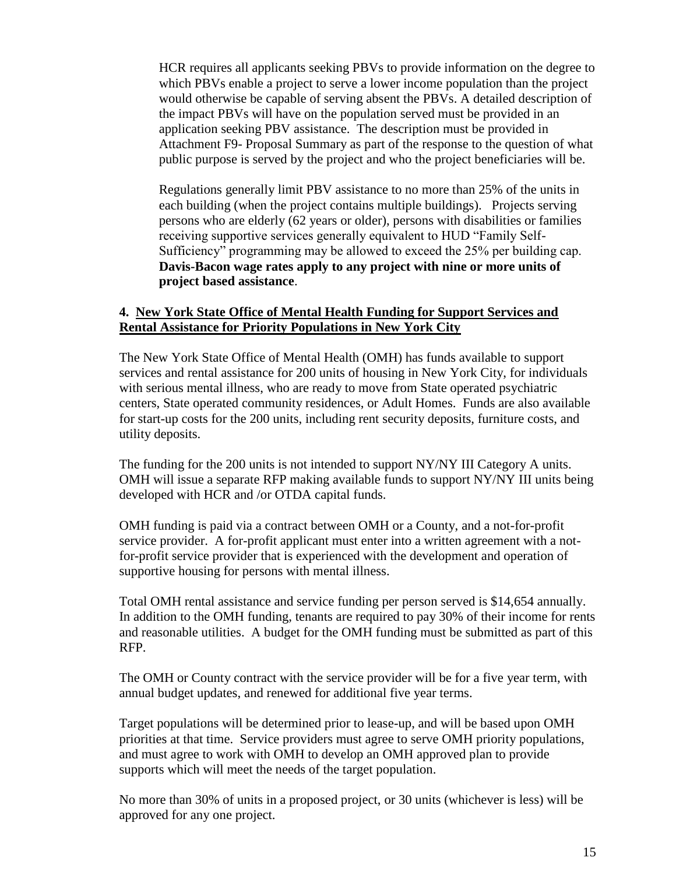HCR requires all applicants seeking PBVs to provide information on the degree to which PBVs enable a project to serve a lower income population than the project would otherwise be capable of serving absent the PBVs. A detailed description of the impact PBVs will have on the population served must be provided in an application seeking PBV assistance. The description must be provided in Attachment F9- Proposal Summary as part of the response to the question of what public purpose is served by the project and who the project beneficiaries will be.

Regulations generally limit PBV assistance to no more than 25% of the units in each building (when the project contains multiple buildings). Projects serving persons who are elderly (62 years or older), persons with disabilities or families receiving supportive services generally equivalent to HUD "Family Self-Sufficiency" programming may be allowed to exceed the 25% per building cap. **Davis-Bacon wage rates apply to any project with nine or more units of project based assistance**.

### **4. New York State Office of Mental Health Funding for Support Services and Rental Assistance for Priority Populations in New York City**

The New York State Office of Mental Health (OMH) has funds available to support services and rental assistance for 200 units of housing in New York City, for individuals with serious mental illness, who are ready to move from State operated psychiatric centers, State operated community residences, or Adult Homes. Funds are also available for start-up costs for the 200 units, including rent security deposits, furniture costs, and utility deposits.

The funding for the 200 units is not intended to support NY/NY III Category A units. OMH will issue a separate RFP making available funds to support NY/NY III units being developed with HCR and /or OTDA capital funds.

OMH funding is paid via a contract between OMH or a County, and a not-for-profit service provider. A for-profit applicant must enter into a written agreement with a notfor-profit service provider that is experienced with the development and operation of supportive housing for persons with mental illness.

Total OMH rental assistance and service funding per person served is \$14,654 annually. In addition to the OMH funding, tenants are required to pay 30% of their income for rents and reasonable utilities. A budget for the OMH funding must be submitted as part of this RFP.

The OMH or County contract with the service provider will be for a five year term, with annual budget updates, and renewed for additional five year terms.

Target populations will be determined prior to lease-up, and will be based upon OMH priorities at that time. Service providers must agree to serve OMH priority populations, and must agree to work with OMH to develop an OMH approved plan to provide supports which will meet the needs of the target population.

No more than 30% of units in a proposed project, or 30 units (whichever is less) will be approved for any one project.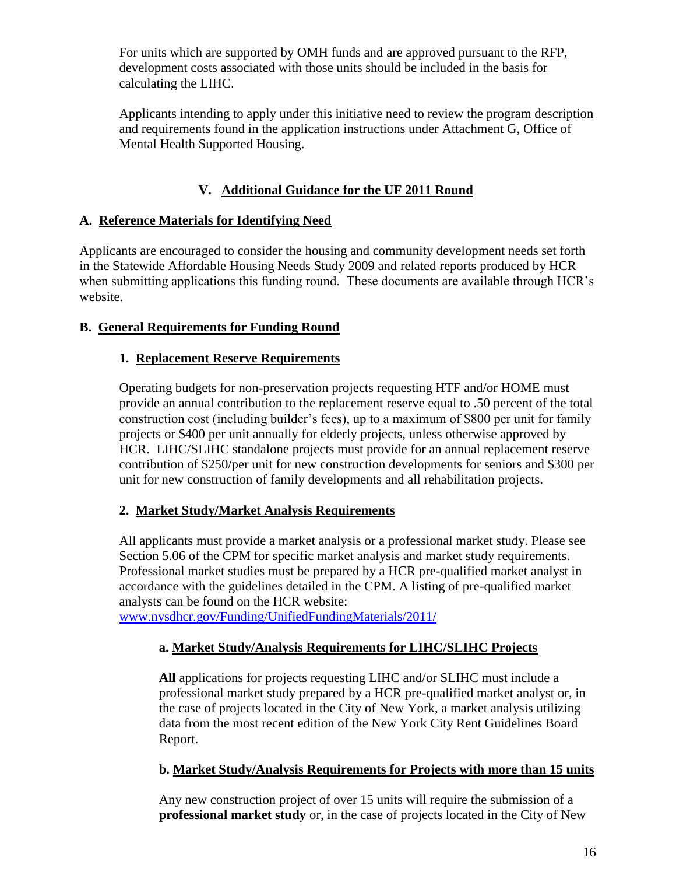For units which are supported by OMH funds and are approved pursuant to the RFP, development costs associated with those units should be included in the basis for calculating the LIHC.

Applicants intending to apply under this initiative need to review the program description and requirements found in the application instructions under Attachment G, Office of Mental Health Supported Housing.

# **V. Additional Guidance for the UF 2011 Round**

# **A. Reference Materials for Identifying Need**

Applicants are encouraged to consider the housing and community development needs set forth in the Statewide Affordable Housing Needs Study 2009 and related reports produced by HCR when submitting applications this funding round. These documents are available through HCR's website.

# **B. General Requirements for Funding Round**

# **1. Replacement Reserve Requirements**

Operating budgets for non-preservation projects requesting HTF and/or HOME must provide an annual contribution to the replacement reserve equal to .50 percent of the total construction cost (including builder"s fees), up to a maximum of \$800 per unit for family projects or \$400 per unit annually for elderly projects, unless otherwise approved by HCR. LIHC/SLIHC standalone projects must provide for an annual replacement reserve contribution of \$250/per unit for new construction developments for seniors and \$300 per unit for new construction of family developments and all rehabilitation projects.

# **2. Market Study/Market Analysis Requirements**

All applicants must provide a market analysis or a professional market study. Please see Section 5.06 of the CPM for specific market analysis and market study requirements. Professional market studies must be prepared by a HCR pre-qualified market analyst in accordance with the guidelines detailed in the CPM. A listing of pre-qualified market analysts can be found on the HCR website:

[www.nysdhcr.gov/Funding/UnifiedFundingMaterials/2011/](http://www.nysdhcr.gov/Funding/UnifiedFundingMaterials/2011/)

# **a. Market Study/Analysis Requirements for LIHC/SLIHC Projects**

**All** applications for projects requesting LIHC and/or SLIHC must include a professional market study prepared by a HCR pre-qualified market analyst or, in the case of projects located in the City of New York, a market analysis utilizing data from the most recent edition of the New York City Rent Guidelines Board Report.

# **b. Market Study/Analysis Requirements for Projects with more than 15 units**

Any new construction project of over 15 units will require the submission of a **professional market study** or, in the case of projects located in the City of New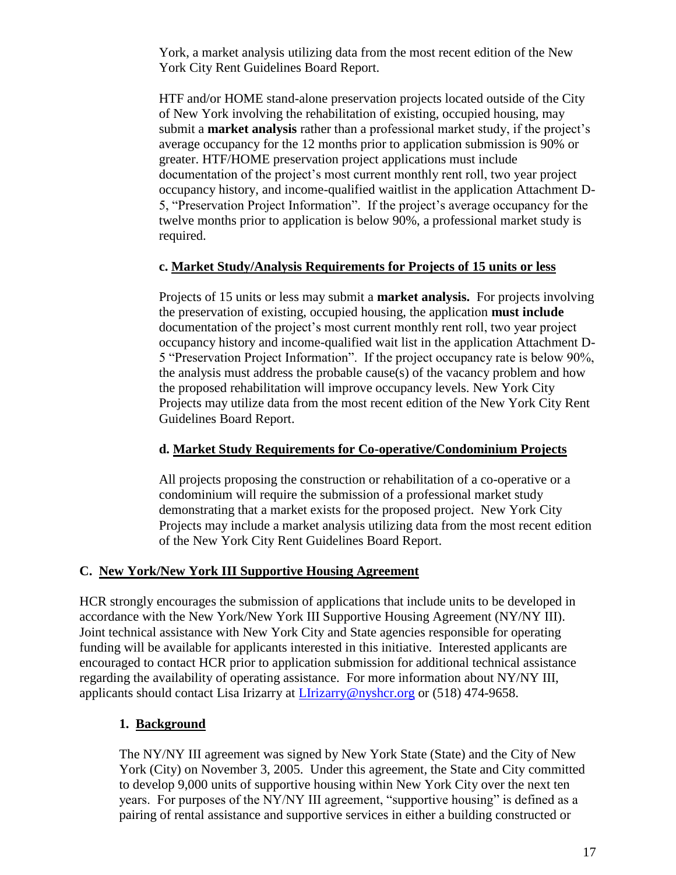York, a market analysis utilizing data from the most recent edition of the New York City Rent Guidelines Board Report.

HTF and/or HOME stand-alone preservation projects located outside of the City of New York involving the rehabilitation of existing, occupied housing, may submit a **market analysis** rather than a professional market study, if the project's average occupancy for the 12 months prior to application submission is 90% or greater. HTF/HOME preservation project applications must include documentation of the project"s most current monthly rent roll, two year project occupancy history, and income-qualified waitlist in the application Attachment D-5, "Preservation Project Information". If the project"s average occupancy for the twelve months prior to application is below 90%, a professional market study is required.

### **c. Market Study/Analysis Requirements for Projects of 15 units or less**

Projects of 15 units or less may submit a **market analysis.** For projects involving the preservation of existing, occupied housing, the application **must include** documentation of the project"s most current monthly rent roll, two year project occupancy history and income-qualified wait list in the application Attachment D-5 "Preservation Project Information". If the project occupancy rate is below 90%, the analysis must address the probable cause(s) of the vacancy problem and how the proposed rehabilitation will improve occupancy levels. New York City Projects may utilize data from the most recent edition of the New York City Rent Guidelines Board Report.

### **d. Market Study Requirements for Co-operative/Condominium Projects**

All projects proposing the construction or rehabilitation of a co-operative or a condominium will require the submission of a professional market study demonstrating that a market exists for the proposed project. New York City Projects may include a market analysis utilizing data from the most recent edition of the New York City Rent Guidelines Board Report.

### **C. New York/New York III Supportive Housing Agreement**

HCR strongly encourages the submission of applications that include units to be developed in accordance with the New York/New York III Supportive Housing Agreement (NY/NY III). Joint technical assistance with New York City and State agencies responsible for operating funding will be available for applicants interested in this initiative. Interested applicants are encouraged to contact HCR prior to application submission for additional technical assistance regarding the availability of operating assistance. For more information about NY/NY III, applicants should contact Lisa Irizarry at [LIrizarry@nyshcr.org](mailto:LIrizarry@nyshcr.org) or (518) 474-9658.

# **1. Background**

The NY/NY III agreement was signed by New York State (State) and the City of New York (City) on November 3, 2005. Under this agreement, the State and City committed to develop 9,000 units of supportive housing within New York City over the next ten years. For purposes of the NY/NY III agreement, "supportive housing" is defined as a pairing of rental assistance and supportive services in either a building constructed or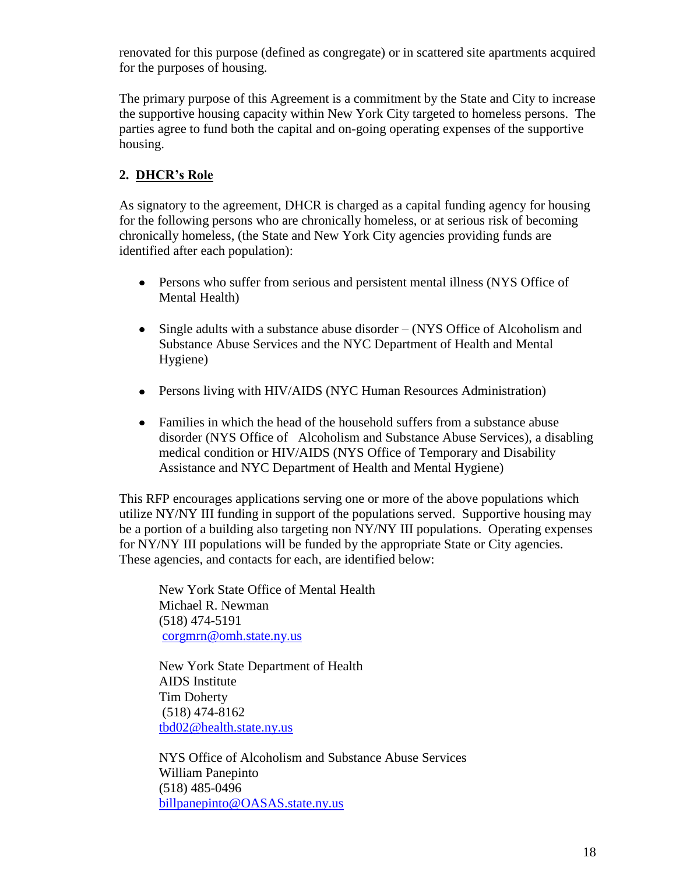renovated for this purpose (defined as congregate) or in scattered site apartments acquired for the purposes of housing.

The primary purpose of this Agreement is a commitment by the State and City to increase the supportive housing capacity within New York City targeted to homeless persons. The parties agree to fund both the capital and on-going operating expenses of the supportive housing.

# **2. DHCR's Role**

As signatory to the agreement, DHCR is charged as a capital funding agency for housing for the following persons who are chronically homeless, or at serious risk of becoming chronically homeless, (the State and New York City agencies providing funds are identified after each population):

- Persons who suffer from serious and persistent mental illness (NYS Office of Mental Health)
- Single adults with a substance abuse disorder (NYS Office of Alcoholism and  $\bullet$ Substance Abuse Services and the NYC Department of Health and Mental Hygiene)
- Persons living with HIV/AIDS (NYC Human Resources Administration)
- Families in which the head of the household suffers from a substance abuse disorder (NYS Office of Alcoholism and Substance Abuse Services), a disabling medical condition or HIV/AIDS (NYS Office of Temporary and Disability Assistance and NYC Department of Health and Mental Hygiene)

This RFP encourages applications serving one or more of the above populations which utilize NY/NY III funding in support of the populations served. Supportive housing may be a portion of a building also targeting non NY/NY III populations. Operating expenses for NY/NY III populations will be funded by the appropriate State or City agencies. These agencies, and contacts for each, are identified below:

New York State Office of Mental Health Michael R. Newman (518) 474-5191 [corgmrn@omh.state.ny.us](mailto:corgmrn@omh.state.ny.us)

New York State Department of Health AIDS Institute Tim Doherty (518) 474-8162 [tbd02@health.state.ny.us](mailto:tbd02@health.state.ny.us)

NYS Office of Alcoholism and Substance Abuse Services William Panepinto (518) 485-0496 [billpanepinto@OASAS.state.ny.us](mailto:billpanepinto@OASAS.state.ny.us)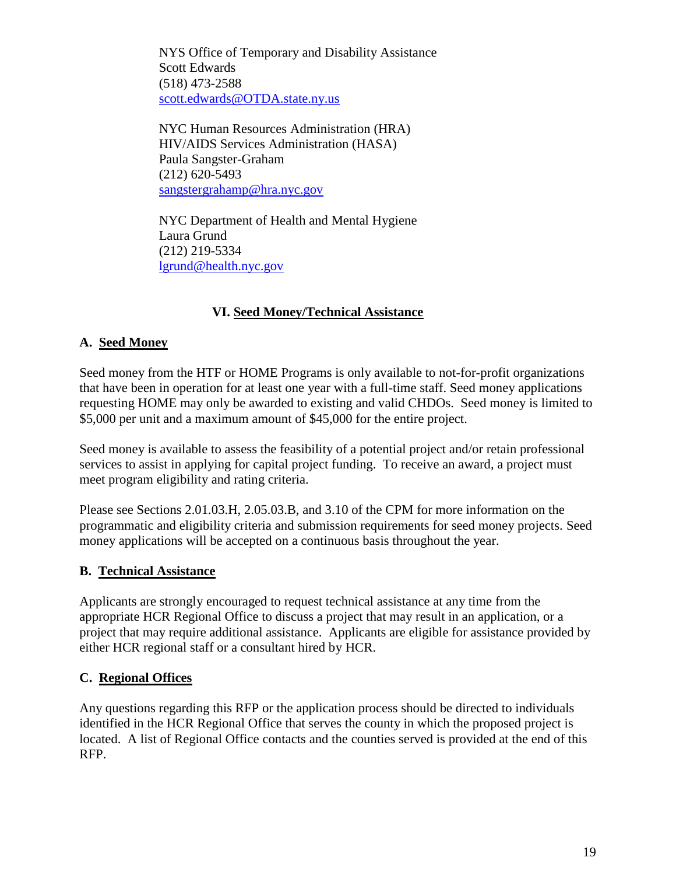NYS Office of Temporary and Disability Assistance Scott Edwards (518) 473-2588 [scott.edwards@OTDA.state.ny.us](mailto:scott.edwards@OTDA.state.ny.us)

NYC Human Resources Administration (HRA) HIV/AIDS Services Administration (HASA) Paula Sangster-Graham (212) 620-5493 [sangstergrahamp@hra.nyc.gov](mailto:sangstergrahamp@hra.nyc.gov)

NYC Department of Health and Mental Hygiene Laura Grund (212) 219-5334 [lgrund@health.nyc.gov](mailto:lgrund@health.nyc.gov)

# **VI. Seed Money/Technical Assistance**

### **A. Seed Money**

Seed money from the HTF or HOME Programs is only available to not-for-profit organizations that have been in operation for at least one year with a full-time staff. Seed money applications requesting HOME may only be awarded to existing and valid CHDOs. Seed money is limited to \$5,000 per unit and a maximum amount of \$45,000 for the entire project.

Seed money is available to assess the feasibility of a potential project and/or retain professional services to assist in applying for capital project funding. To receive an award, a project must meet program eligibility and rating criteria.

Please see Sections 2.01.03.H, 2.05.03.B, and 3.10 of the CPM for more information on the programmatic and eligibility criteria and submission requirements for seed money projects. Seed money applications will be accepted on a continuous basis throughout the year.

#### **B. Technical Assistance**

Applicants are strongly encouraged to request technical assistance at any time from the appropriate HCR Regional Office to discuss a project that may result in an application, or a project that may require additional assistance. Applicants are eligible for assistance provided by either HCR regional staff or a consultant hired by HCR.

#### **C. Regional Offices**

Any questions regarding this RFP or the application process should be directed to individuals identified in the HCR Regional Office that serves the county in which the proposed project is located. A list of Regional Office contacts and the counties served is provided at the end of this RFP.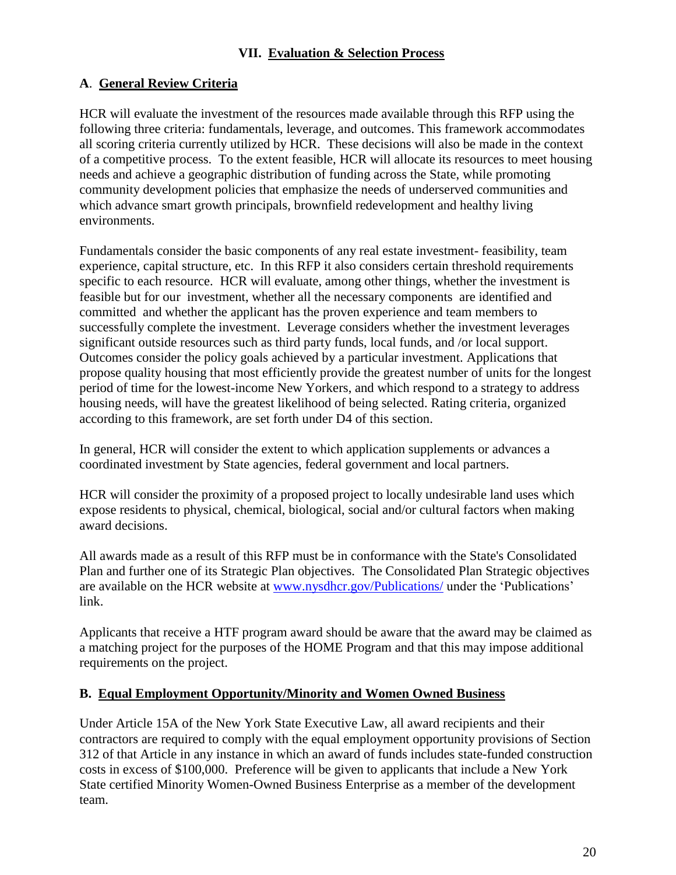# **A**. **General Review Criteria**

HCR will evaluate the investment of the resources made available through this RFP using the following three criteria: fundamentals, leverage, and outcomes. This framework accommodates all scoring criteria currently utilized by HCR. These decisions will also be made in the context of a competitive process. To the extent feasible, HCR will allocate its resources to meet housing needs and achieve a geographic distribution of funding across the State, while promoting community development policies that emphasize the needs of underserved communities and which advance smart growth principals, brownfield redevelopment and healthy living environments.

Fundamentals consider the basic components of any real estate investment- feasibility, team experience, capital structure, etc. In this RFP it also considers certain threshold requirements specific to each resource. HCR will evaluate, among other things, whether the investment is feasible but for our investment, whether all the necessary components are identified and committed and whether the applicant has the proven experience and team members to successfully complete the investment. Leverage considers whether the investment leverages significant outside resources such as third party funds, local funds, and /or local support. Outcomes consider the policy goals achieved by a particular investment. Applications that propose quality housing that most efficiently provide the greatest number of units for the longest period of time for the lowest-income New Yorkers, and which respond to a strategy to address housing needs, will have the greatest likelihood of being selected. Rating criteria, organized according to this framework, are set forth under D4 of this section.

In general, HCR will consider the extent to which application supplements or advances a coordinated investment by State agencies, federal government and local partners.

HCR will consider the proximity of a proposed project to locally undesirable land uses which expose residents to physical, chemical, biological, social and/or cultural factors when making award decisions.

All awards made as a result of this RFP must be in conformance with the State's Consolidated Plan and further one of its Strategic Plan objectives. The Consolidated Plan Strategic objectives are available on the HCR website at [www.nysdhcr.gov/Publications/](http://www.nysdhcr.gov/Publications/) under the "Publications" link.

Applicants that receive a HTF program award should be aware that the award may be claimed as a matching project for the purposes of the HOME Program and that this may impose additional requirements on the project.

### **B. Equal Employment Opportunity/Minority and Women Owned Business**

Under Article 15A of the New York State Executive Law, all award recipients and their contractors are required to comply with the equal employment opportunity provisions of Section 312 of that Article in any instance in which an award of funds includes state-funded construction costs in excess of \$100,000. Preference will be given to applicants that include a New York State certified Minority Women-Owned Business Enterprise as a member of the development team.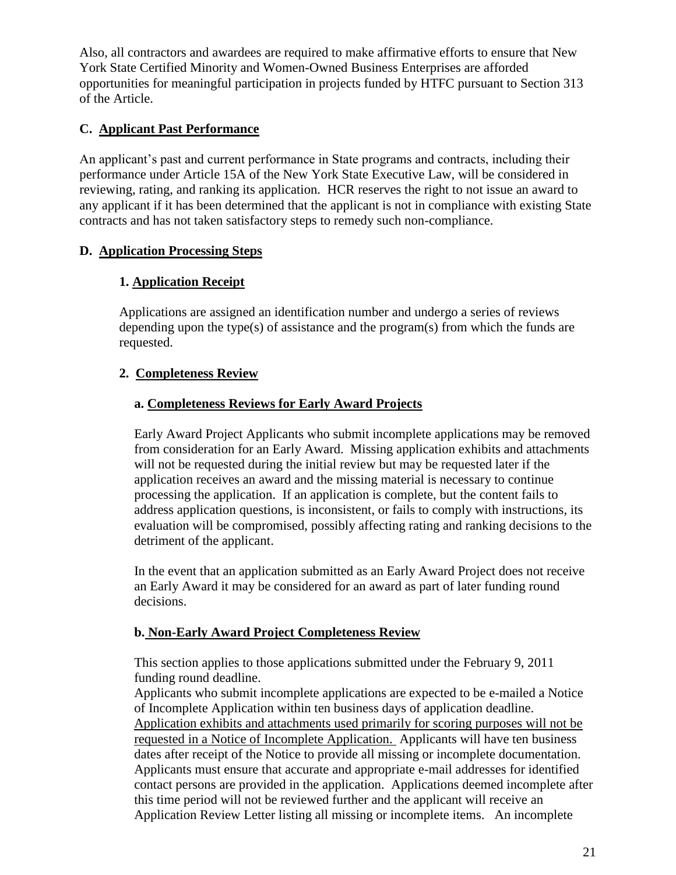Also, all contractors and awardees are required to make affirmative efforts to ensure that New York State Certified Minority and Women-Owned Business Enterprises are afforded opportunities for meaningful participation in projects funded by HTFC pursuant to Section 313 of the Article.

# **C. Applicant Past Performance**

An applicant's past and current performance in State programs and contracts, including their performance under Article 15A of the New York State Executive Law, will be considered in reviewing, rating, and ranking its application. HCR reserves the right to not issue an award to any applicant if it has been determined that the applicant is not in compliance with existing State contracts and has not taken satisfactory steps to remedy such non-compliance.

## **D. Application Processing Steps**

# **1. Application Receipt**

Applications are assigned an identification number and undergo a series of reviews depending upon the type(s) of assistance and the program(s) from which the funds are requested.

# **2. Completeness Review**

### **a. Completeness Reviews for Early Award Projects**

Early Award Project Applicants who submit incomplete applications may be removed from consideration for an Early Award. Missing application exhibits and attachments will not be requested during the initial review but may be requested later if the application receives an award and the missing material is necessary to continue processing the application. If an application is complete, but the content fails to address application questions, is inconsistent, or fails to comply with instructions, its evaluation will be compromised, possibly affecting rating and ranking decisions to the detriment of the applicant.

In the event that an application submitted as an Early Award Project does not receive an Early Award it may be considered for an award as part of later funding round decisions.

### **b. Non-Early Award Project Completeness Review**

This section applies to those applications submitted under the February 9, 2011 funding round deadline.

Applicants who submit incomplete applications are expected to be e-mailed a Notice of Incomplete Application within ten business days of application deadline. Application exhibits and attachments used primarily for scoring purposes will not be requested in a Notice of Incomplete Application. Applicants will have ten business dates after receipt of the Notice to provide all missing or incomplete documentation. Applicants must ensure that accurate and appropriate e-mail addresses for identified contact persons are provided in the application. Applications deemed incomplete after this time period will not be reviewed further and the applicant will receive an Application Review Letter listing all missing or incomplete items. An incomplete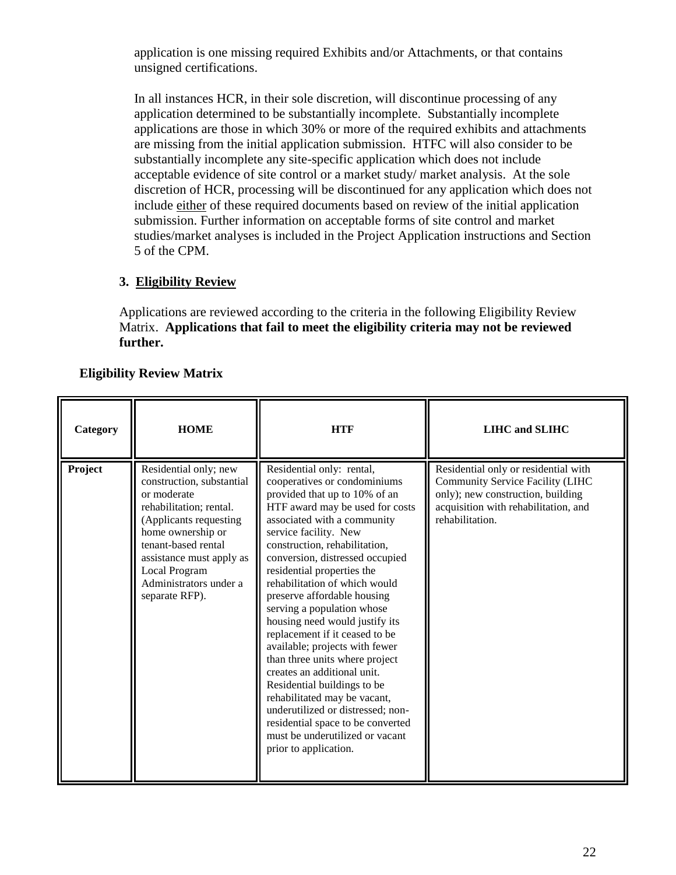application is one missing required Exhibits and/or Attachments, or that contains unsigned certifications.

In all instances HCR, in their sole discretion, will discontinue processing of any application determined to be substantially incomplete. Substantially incomplete applications are those in which 30% or more of the required exhibits and attachments are missing from the initial application submission. HTFC will also consider to be substantially incomplete any site-specific application which does not include acceptable evidence of site control or a market study/ market analysis. At the sole discretion of HCR, processing will be discontinued for any application which does not include either of these required documents based on review of the initial application submission. Further information on acceptable forms of site control and market studies/market analyses is included in the Project Application instructions and Section 5 of the CPM.

## **3. Eligibility Review**

Applications are reviewed according to the criteria in the following Eligibility Review Matrix. **Applications that fail to meet the eligibility criteria may not be reviewed further.**

## **Eligibility Review Matrix**

| Category | <b>HOME</b>                                                                                                                                                                                                                                                 | <b>HTF</b>                                                                                                                                                                                                                                                                                                                                                                                                                                                                                                                                                                                                                                                                                                                                                        | <b>LIHC</b> and <b>SLIHC</b>                                                                                                                                             |
|----------|-------------------------------------------------------------------------------------------------------------------------------------------------------------------------------------------------------------------------------------------------------------|-------------------------------------------------------------------------------------------------------------------------------------------------------------------------------------------------------------------------------------------------------------------------------------------------------------------------------------------------------------------------------------------------------------------------------------------------------------------------------------------------------------------------------------------------------------------------------------------------------------------------------------------------------------------------------------------------------------------------------------------------------------------|--------------------------------------------------------------------------------------------------------------------------------------------------------------------------|
| Project  | Residential only; new<br>construction, substantial<br>or moderate<br>rehabilitation; rental.<br>(Applicants requesting<br>home ownership or<br>tenant-based rental<br>assistance must apply as<br>Local Program<br>Administrators under a<br>separate RFP). | Residential only: rental,<br>cooperatives or condominiums<br>provided that up to 10% of an<br>HTF award may be used for costs<br>associated with a community<br>service facility. New<br>construction, rehabilitation,<br>conversion, distressed occupied<br>residential properties the<br>rehabilitation of which would<br>preserve affordable housing<br>serving a population whose<br>housing need would justify its<br>replacement if it ceased to be<br>available; projects with fewer<br>than three units where project<br>creates an additional unit.<br>Residential buildings to be<br>rehabilitated may be vacant,<br>underutilized or distressed; non-<br>residential space to be converted<br>must be underutilized or vacant<br>prior to application. | Residential only or residential with<br>Community Service Facility (LIHC<br>only); new construction, building<br>acquisition with rehabilitation, and<br>rehabilitation. |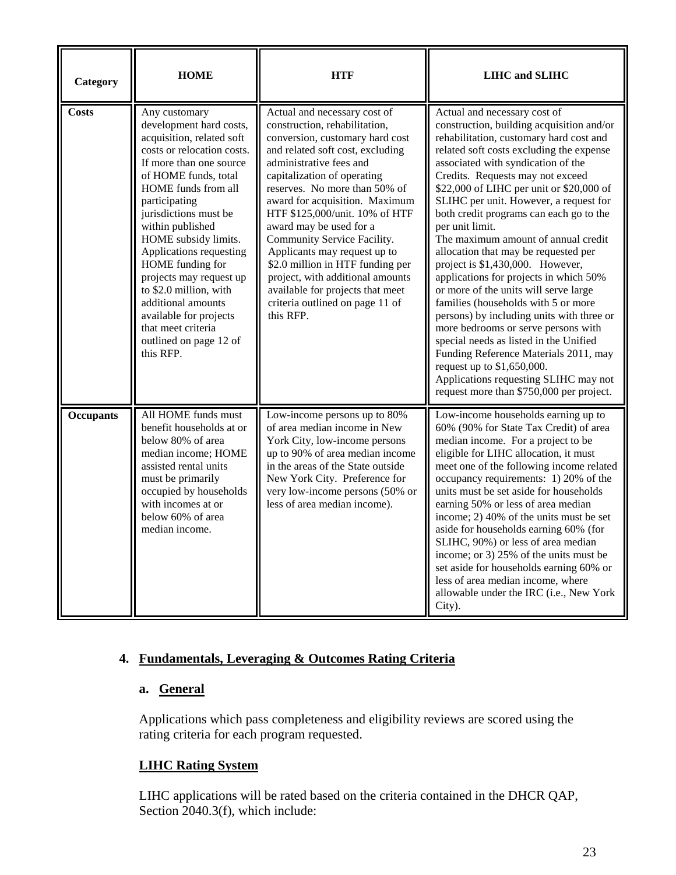| Category         | <b>HOME</b>                                                                                                                                                                                                                                                                                                                                                                                                                                                                          | <b>HTF</b>                                                                                                                                                                                                                                                                                                                                                                                                                                                                                                                                                | <b>LIHC and SLIHC</b>                                                                                                                                                                                                                                                                                                                                                                                                                                                                                                                                                                                                                                                                                                                                                                                                                                                                                                                 |
|------------------|--------------------------------------------------------------------------------------------------------------------------------------------------------------------------------------------------------------------------------------------------------------------------------------------------------------------------------------------------------------------------------------------------------------------------------------------------------------------------------------|-----------------------------------------------------------------------------------------------------------------------------------------------------------------------------------------------------------------------------------------------------------------------------------------------------------------------------------------------------------------------------------------------------------------------------------------------------------------------------------------------------------------------------------------------------------|---------------------------------------------------------------------------------------------------------------------------------------------------------------------------------------------------------------------------------------------------------------------------------------------------------------------------------------------------------------------------------------------------------------------------------------------------------------------------------------------------------------------------------------------------------------------------------------------------------------------------------------------------------------------------------------------------------------------------------------------------------------------------------------------------------------------------------------------------------------------------------------------------------------------------------------|
| <b>Costs</b>     | Any customary<br>development hard costs,<br>acquisition, related soft<br>costs or relocation costs.<br>If more than one source<br>of HOME funds, total<br>HOME funds from all<br>participating<br>jurisdictions must be<br>within published<br>HOME subsidy limits.<br>Applications requesting<br>HOME funding for<br>projects may request up<br>to \$2.0 million, with<br>additional amounts<br>available for projects<br>that meet criteria<br>outlined on page 12 of<br>this RFP. | Actual and necessary cost of<br>construction, rehabilitation,<br>conversion, customary hard cost<br>and related soft cost, excluding<br>administrative fees and<br>capitalization of operating<br>reserves. No more than 50% of<br>award for acquisition. Maximum<br>HTF \$125,000/unit. 10% of HTF<br>award may be used for a<br>Community Service Facility.<br>Applicants may request up to<br>\$2.0 million in HTF funding per<br>project, with additional amounts<br>available for projects that meet<br>criteria outlined on page 11 of<br>this RFP. | Actual and necessary cost of<br>construction, building acquisition and/or<br>rehabilitation, customary hard cost and<br>related soft costs excluding the expense<br>associated with syndication of the<br>Credits. Requests may not exceed<br>\$22,000 of LIHC per unit or \$20,000 of<br>SLIHC per unit. However, a request for<br>both credit programs can each go to the<br>per unit limit.<br>The maximum amount of annual credit<br>allocation that may be requested per<br>project is \$1,430,000. However,<br>applications for projects in which 50%<br>or more of the units will serve large<br>families (households with 5 or more<br>persons) by including units with three or<br>more bedrooms or serve persons with<br>special needs as listed in the Unified<br>Funding Reference Materials 2011, may<br>request up to \$1,650,000.<br>Applications requesting SLIHC may not<br>request more than \$750,000 per project. |
| <b>Occupants</b> | All HOME funds must<br>benefit households at or<br>below 80% of area<br>median income; HOME<br>assisted rental units<br>must be primarily<br>occupied by households<br>with incomes at or<br>below 60% of area<br>median income.                                                                                                                                                                                                                                                     | Low-income persons up to 80%<br>of area median income in New<br>York City, low-income persons<br>up to 90% of area median income<br>in the areas of the State outside<br>New York City. Preference for<br>very low-income persons (50% or<br>less of area median income).                                                                                                                                                                                                                                                                                 | Low-income households earning up to<br>60% (90% for State Tax Credit) of area<br>median income. For a project to be<br>eligible for LIHC allocation, it must<br>meet one of the following income related<br>occupancy requirements: 1) 20% of the<br>units must be set aside for households<br>earning 50% or less of area median<br>income; 2) 40% of the units must be set<br>aside for households earning 60% (for<br>SLIHC, 90%) or less of area median<br>income; or 3) 25% of the units must be<br>set aside for households earning 60% or<br>less of area median income, where<br>allowable under the IRC (i.e., New York<br>City).                                                                                                                                                                                                                                                                                            |

# **4. Fundamentals, Leveraging & Outcomes Rating Criteria**

# **a. General**

Applications which pass completeness and eligibility reviews are scored using the rating criteria for each program requested.

### **LIHC Rating System**

LIHC applications will be rated based on the criteria contained in the DHCR QAP, Section 2040.3(f), which include: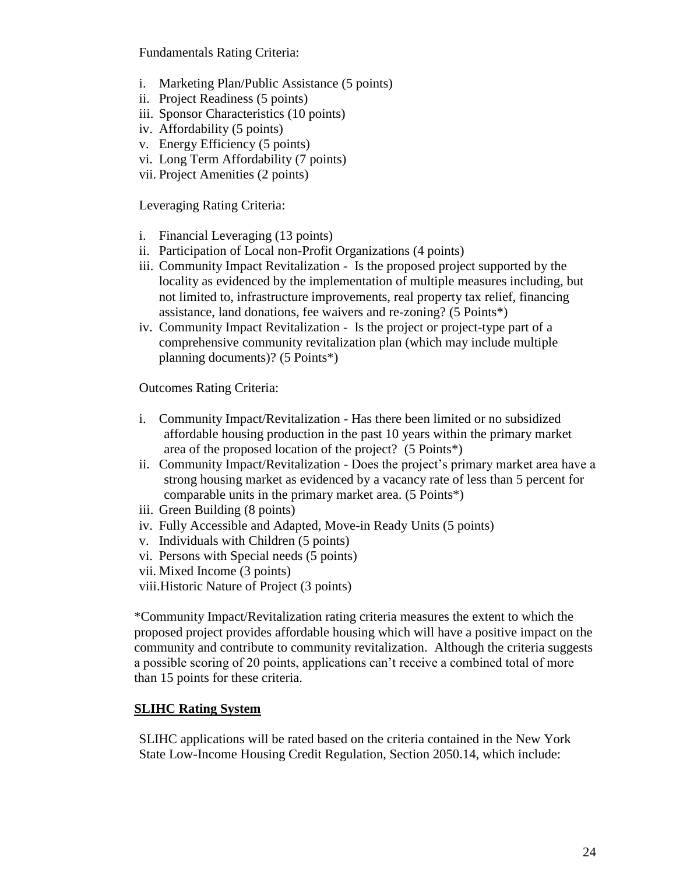Fundamentals Rating Criteria:

- i. Marketing Plan/Public Assistance (5 points)
- ii. Project Readiness (5 points)
- iii. Sponsor Characteristics (10 points)
- iv. Affordability (5 points)
- v. Energy Efficiency (5 points)
- vi. Long Term Affordability (7 points)
- vii. Project Amenities (2 points)

Leveraging Rating Criteria:

- i. Financial Leveraging (13 points)
- ii. Participation of Local non-Profit Organizations (4 points)
- iii. Community Impact Revitalization Is the proposed project supported by the locality as evidenced by the implementation of multiple measures including, but not limited to, infrastructure improvements, real property tax relief, financing assistance, land donations, fee waivers and re-zoning? (5 Points\*)
- iv. Community Impact Revitalization Is the project or project-type part of a comprehensive community revitalization plan (which may include multiple planning documents)? (5 Points\*)

Outcomes Rating Criteria:

- i. Community Impact/Revitalization Has there been limited or no subsidized affordable housing production in the past 10 years within the primary market area of the proposed location of the project? (5 Points\*)
- ii. Community Impact/Revitalization Does the project's primary market area have a strong housing market as evidenced by a vacancy rate of less than 5 percent for comparable units in the primary market area. (5 Points\*)
- iii. Green Building (8 points)
- iv. Fully Accessible and Adapted, Move-in Ready Units (5 points)
- v. Individuals with Children (5 points)
- vi. Persons with Special needs (5 points)
- vii. Mixed Income (3 points)
- viii.Historic Nature of Project (3 points)

\*Community Impact/Revitalization rating criteria measures the extent to which the proposed project provides affordable housing which will have a positive impact on the community and contribute to community revitalization. Although the criteria suggests a possible scoring of 20 points, applications can"t receive a combined total of more than 15 points for these criteria.

# **SLIHC Rating System**

SLIHC applications will be rated based on the criteria contained in the New York State Low-Income Housing Credit Regulation, Section 2050.14, which include: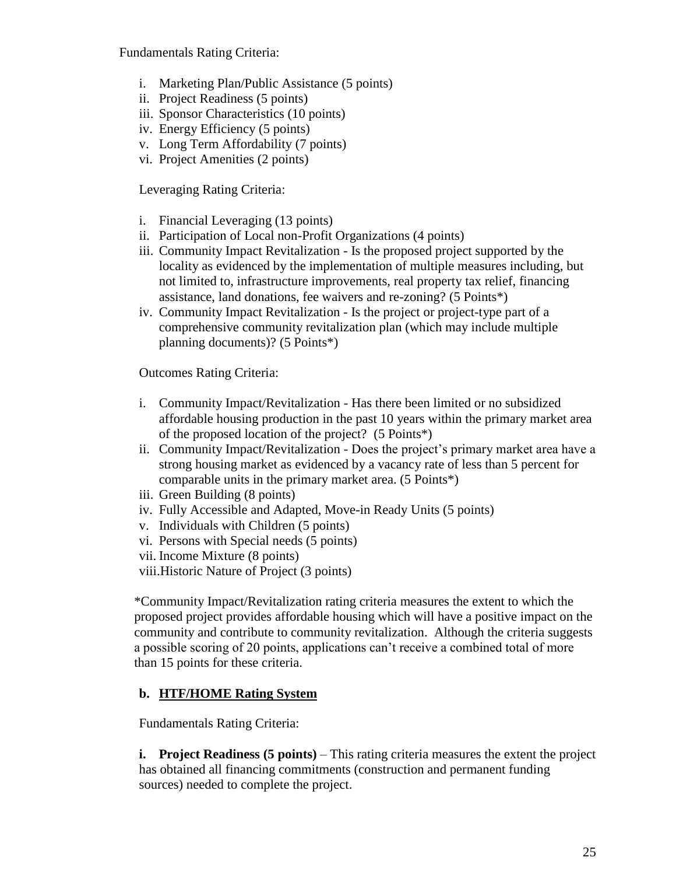Fundamentals Rating Criteria:

- i. Marketing Plan/Public Assistance (5 points)
- ii. Project Readiness (5 points)
- iii. Sponsor Characteristics (10 points)
- iv. Energy Efficiency (5 points)
- v. Long Term Affordability (7 points)
- vi. Project Amenities (2 points)

Leveraging Rating Criteria:

- i. Financial Leveraging (13 points)
- ii. Participation of Local non-Profit Organizations (4 points)
- iii. Community Impact Revitalization Is the proposed project supported by the locality as evidenced by the implementation of multiple measures including, but not limited to, infrastructure improvements, real property tax relief, financing assistance, land donations, fee waivers and re-zoning? (5 Points\*)
- iv. Community Impact Revitalization Is the project or project-type part of a comprehensive community revitalization plan (which may include multiple planning documents)? (5 Points\*)

Outcomes Rating Criteria:

- i. Community Impact/Revitalization Has there been limited or no subsidized affordable housing production in the past 10 years within the primary market area of the proposed location of the project? (5 Points\*)
- ii. Community Impact/Revitalization Does the project's primary market area have a strong housing market as evidenced by a vacancy rate of less than 5 percent for comparable units in the primary market area. (5 Points\*)
- iii. Green Building (8 points)
- iv. Fully Accessible and Adapted, Move-in Ready Units (5 points)
- v. Individuals with Children (5 points)
- vi. Persons with Special needs (5 points)
- vii. Income Mixture (8 points)
- viii.Historic Nature of Project (3 points)

\*Community Impact/Revitalization rating criteria measures the extent to which the proposed project provides affordable housing which will have a positive impact on the community and contribute to community revitalization. Although the criteria suggests a possible scoring of 20 points, applications can"t receive a combined total of more than 15 points for these criteria.

# **b. HTF/HOME Rating System**

Fundamentals Rating Criteria:

**i. Project Readiness (5 points)** – This rating criteria measures the extent the project has obtained all financing commitments (construction and permanent funding sources) needed to complete the project.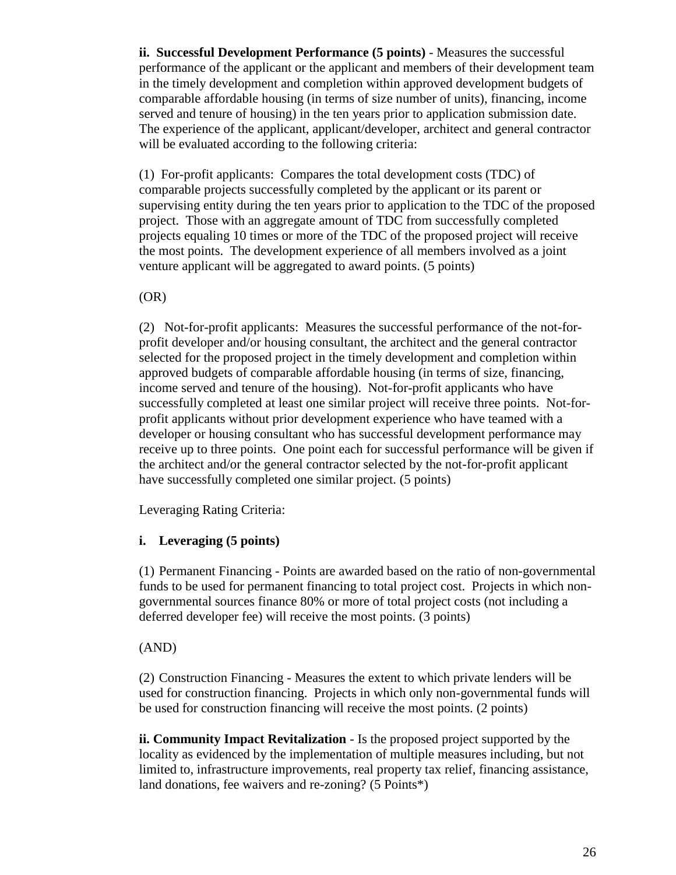**ii. Successful Development Performance (5 points)** - Measures the successful performance of the applicant or the applicant and members of their development team in the timely development and completion within approved development budgets of comparable affordable housing (in terms of size number of units), financing, income served and tenure of housing) in the ten years prior to application submission date. The experience of the applicant, applicant/developer, architect and general contractor will be evaluated according to the following criteria:

(1) For-profit applicants: Compares the total development costs (TDC) of comparable projects successfully completed by the applicant or its parent or supervising entity during the ten years prior to application to the TDC of the proposed project. Those with an aggregate amount of TDC from successfully completed projects equaling 10 times or more of the TDC of the proposed project will receive the most points. The development experience of all members involved as a joint venture applicant will be aggregated to award points. (5 points)

(OR)

(2) Not-for-profit applicants: Measures the successful performance of the not-forprofit developer and/or housing consultant, the architect and the general contractor selected for the proposed project in the timely development and completion within approved budgets of comparable affordable housing (in terms of size, financing, income served and tenure of the housing). Not-for-profit applicants who have successfully completed at least one similar project will receive three points. Not-forprofit applicants without prior development experience who have teamed with a developer or housing consultant who has successful development performance may receive up to three points. One point each for successful performance will be given if the architect and/or the general contractor selected by the not-for-profit applicant have successfully completed one similar project. (5 points)

Leveraging Rating Criteria:

### **i. Leveraging (5 points)**

(1) Permanent Financing - Points are awarded based on the ratio of non-governmental funds to be used for permanent financing to total project cost. Projects in which nongovernmental sources finance 80% or more of total project costs (not including a deferred developer fee) will receive the most points. (3 points)

### (AND)

(2) Construction Financing - Measures the extent to which private lenders will be used for construction financing. Projects in which only non-governmental funds will be used for construction financing will receive the most points. (2 points)

**ii. Community Impact Revitalization** - Is the proposed project supported by the locality as evidenced by the implementation of multiple measures including, but not limited to, infrastructure improvements, real property tax relief, financing assistance, land donations, fee waivers and re-zoning? (5 Points\*)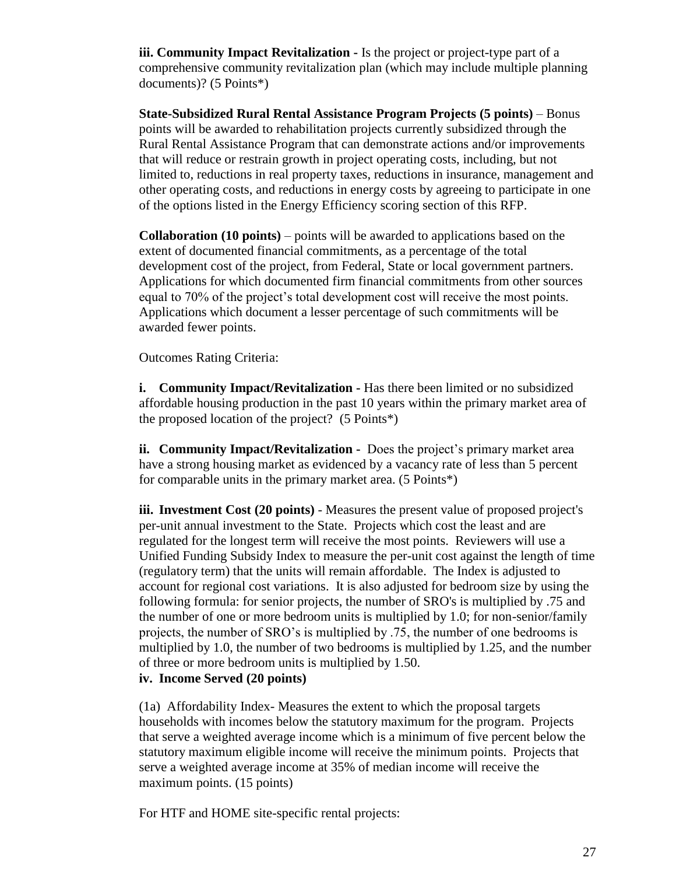**iii. Community Impact Revitalization -** Is the project or project-type part of a comprehensive community revitalization plan (which may include multiple planning documents)? (5 Points\*)

**State-Subsidized Rural Rental Assistance Program Projects (5 points)** – Bonus points will be awarded to rehabilitation projects currently subsidized through the Rural Rental Assistance Program that can demonstrate actions and/or improvements that will reduce or restrain growth in project operating costs, including, but not limited to, reductions in real property taxes, reductions in insurance, management and other operating costs, and reductions in energy costs by agreeing to participate in one of the options listed in the Energy Efficiency scoring section of this RFP.

**Collaboration (10 points)** – points will be awarded to applications based on the extent of documented financial commitments, as a percentage of the total development cost of the project, from Federal, State or local government partners. Applications for which documented firm financial commitments from other sources equal to 70% of the project"s total development cost will receive the most points. Applications which document a lesser percentage of such commitments will be awarded fewer points.

Outcomes Rating Criteria:

**i. Community Impact/Revitalization -** Has there been limited or no subsidized affordable housing production in the past 10 years within the primary market area of the proposed location of the project? (5 Points\*)

**ii. Community Impact/Revitalization -** Does the project's primary market area have a strong housing market as evidenced by a vacancy rate of less than 5 percent for comparable units in the primary market area. (5 Points\*)

**iii. Investment Cost (20 points)** - Measures the present value of proposed project's per-unit annual investment to the State. Projects which cost the least and are regulated for the longest term will receive the most points. Reviewers will use a Unified Funding Subsidy Index to measure the per-unit cost against the length of time (regulatory term) that the units will remain affordable. The Index is adjusted to account for regional cost variations. It is also adjusted for bedroom size by using the following formula: for senior projects, the number of SRO's is multiplied by .75 and the number of one or more bedroom units is multiplied by 1.0; for non-senior/family projects, the number of SRO"s is multiplied by .75, the number of one bedrooms is multiplied by 1.0, the number of two bedrooms is multiplied by 1.25, and the number of three or more bedroom units is multiplied by 1.50.

**iv. Income Served (20 points)**

(1a) Affordability Index- Measures the extent to which the proposal targets households with incomes below the statutory maximum for the program. Projects that serve a weighted average income which is a minimum of five percent below the statutory maximum eligible income will receive the minimum points. Projects that serve a weighted average income at 35% of median income will receive the maximum points. (15 points)

For HTF and HOME site-specific rental projects: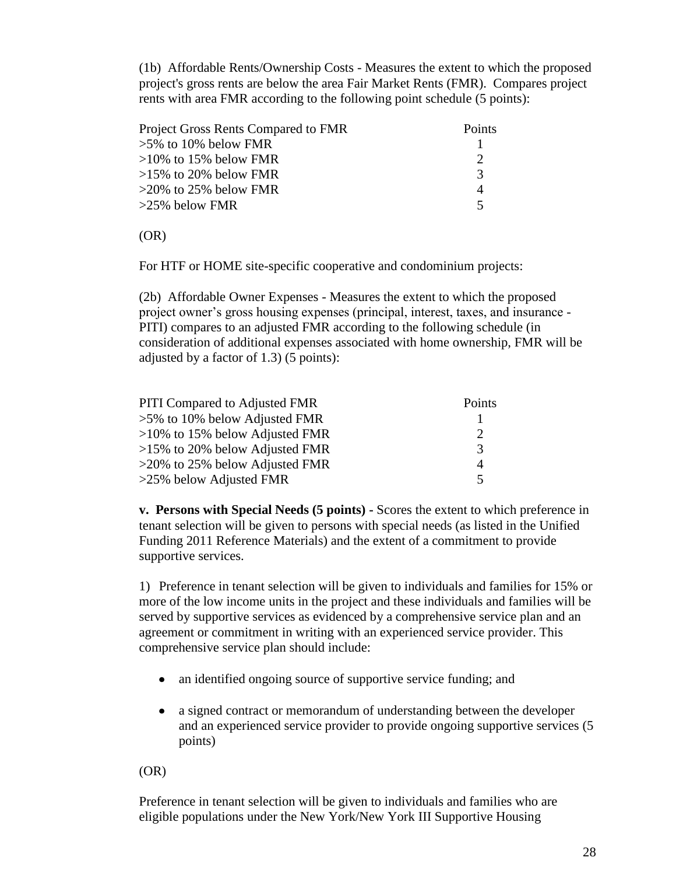(1b) Affordable Rents/Ownership Costs - Measures the extent to which the proposed project's gross rents are below the area Fair Market Rents (FMR). Compares project rents with area FMR according to the following point schedule (5 points):

| Project Gross Rents Compared to FMR | Points |
|-------------------------------------|--------|
| $>5\%$ to 10% below FMR             |        |
| $>10\%$ to 15% below FMR            |        |
| $>15\%$ to 20% below FMR            | 3      |
| $>20\%$ to 25% below FMR            |        |
| $>25\%$ below FMR                   |        |

(OR)

For HTF or HOME site-specific cooperative and condominium projects:

(2b) Affordable Owner Expenses - Measures the extent to which the proposed project owner"s gross housing expenses (principal, interest, taxes, and insurance - PITI) compares to an adjusted FMR according to the following schedule (in consideration of additional expenses associated with home ownership, FMR will be adjusted by a factor of 1.3) (5 points):

| <b>PITI Compared to Adjusted FMR</b> | Points         |
|--------------------------------------|----------------|
| $>5\%$ to 10% below Adjusted FMR     |                |
| $>10\%$ to 15% below Adjusted FMR    | $\mathcal{D}$  |
| $>15\%$ to 20% below Adjusted FMR    | $\mathcal{R}$  |
| $>20\%$ to 25% below Adjusted FMR    | $\overline{A}$ |
| >25% below Adjusted FMR              | 5              |

**v. Persons with Special Needs (5 points) -** Scores the extent to which preference in tenant selection will be given to persons with special needs (as listed in the Unified Funding 2011 Reference Materials) and the extent of a commitment to provide supportive services.

1) Preference in tenant selection will be given to individuals and families for 15% or more of the low income units in the project and these individuals and families will be served by supportive services as evidenced by a comprehensive service plan and an agreement or commitment in writing with an experienced service provider. This comprehensive service plan should include:

- an identified ongoing source of supportive service funding; and
- a signed contract or memorandum of understanding between the developer  $\bullet$ and an experienced service provider to provide ongoing supportive services (5 points)

(OR)

Preference in tenant selection will be given to individuals and families who are eligible populations under the New York/New York III Supportive Housing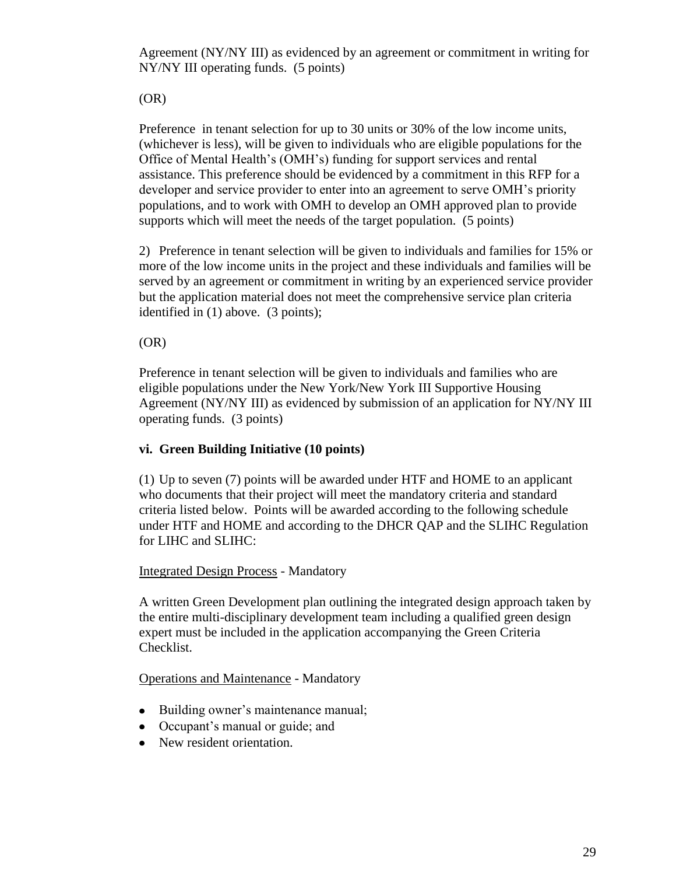Agreement (NY/NY III) as evidenced by an agreement or commitment in writing for NY/NY III operating funds. (5 points)

(OR)

Preference in tenant selection for up to 30 units or 30% of the low income units, (whichever is less), will be given to individuals who are eligible populations for the Office of Mental Health"s (OMH"s) funding for support services and rental assistance. This preference should be evidenced by a commitment in this RFP for a developer and service provider to enter into an agreement to serve OMH"s priority populations, and to work with OMH to develop an OMH approved plan to provide supports which will meet the needs of the target population. (5 points)

2) Preference in tenant selection will be given to individuals and families for 15% or more of the low income units in the project and these individuals and families will be served by an agreement or commitment in writing by an experienced service provider but the application material does not meet the comprehensive service plan criteria identified in (1) above. (3 points);

(OR)

Preference in tenant selection will be given to individuals and families who are eligible populations under the New York/New York III Supportive Housing Agreement (NY/NY III) as evidenced by submission of an application for NY/NY III operating funds. (3 points)

# **vi. Green Building Initiative (10 points)**

(1) Up to seven (7) points will be awarded under HTF and HOME to an applicant who documents that their project will meet the mandatory criteria and standard criteria listed below. Points will be awarded according to the following schedule under HTF and HOME and according to the DHCR QAP and the SLIHC Regulation for LIHC and SLIHC:

# Integrated Design Process - Mandatory

A written Green Development plan outlining the integrated design approach taken by the entire multi-disciplinary development team including a qualified green design expert must be included in the application accompanying the Green Criteria Checklist.

Operations and Maintenance - Mandatory

- Building owner's maintenance manual;
- Occupant's manual or guide; and
- New resident orientation.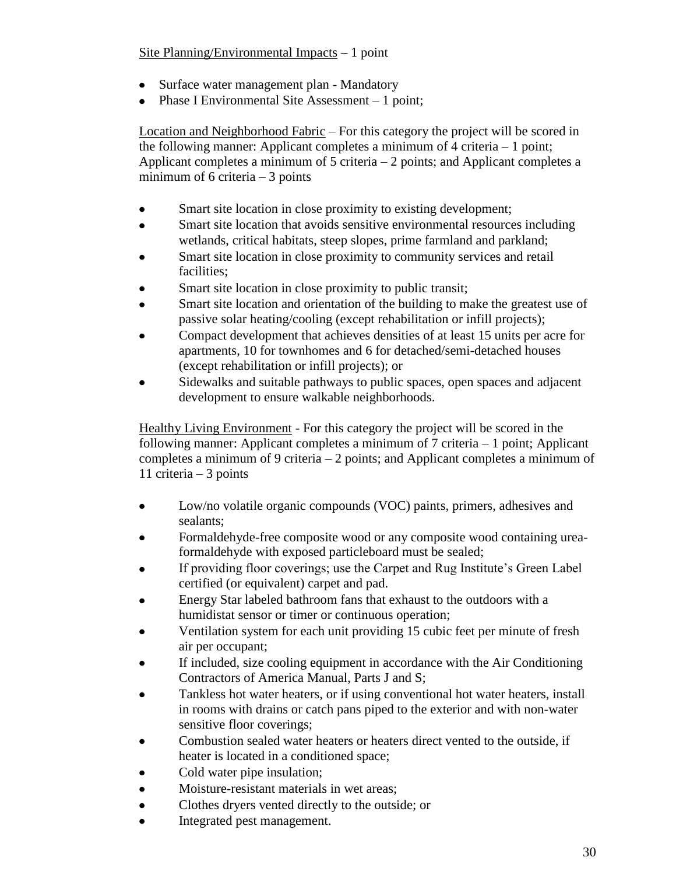## Site Planning/Environmental Impacts – 1 point

- Surface water management plan Mandatory
- Phase I Environmental Site Assessment 1 point;

Location and Neighborhood Fabric – For this category the project will be scored in the following manner: Applicant completes a minimum of 4 criteria – 1 point; Applicant completes a minimum of  $5$  criteria  $-2$  points; and Applicant completes a minimum of 6 criteria  $-3$  points

- Smart site location in close proximity to existing development;  $\bullet$
- Smart site location that avoids sensitive environmental resources including wetlands, critical habitats, steep slopes, prime farmland and parkland;
- Smart site location in close proximity to community services and retail facilities;
- Smart site location in close proximity to public transit;
- Smart site location and orientation of the building to make the greatest use of passive solar heating/cooling (except rehabilitation or infill projects);
- Compact development that achieves densities of at least 15 units per acre for apartments, 10 for townhomes and 6 for detached/semi-detached houses (except rehabilitation or infill projects); or
- Sidewalks and suitable pathways to public spaces, open spaces and adjacent development to ensure walkable neighborhoods.

Healthy Living Environment - For this category the project will be scored in the following manner: Applicant completes a minimum of 7 criteria – 1 point; Applicant completes a minimum of 9 criteria – 2 points; and Applicant completes a minimum of 11 criteria – 3 points

- Low/no volatile organic compounds (VOC) paints, primers, adhesives and sealants;
- Formaldehyde-free composite wood or any composite wood containing ureaformaldehyde with exposed particleboard must be sealed;
- If providing floor coverings; use the Carpet and Rug Institute's Green Label certified (or equivalent) carpet and pad.
- Energy Star labeled bathroom fans that exhaust to the outdoors with a humidistat sensor or timer or continuous operation;
- Ventilation system for each unit providing 15 cubic feet per minute of fresh air per occupant;
- If included, size cooling equipment in accordance with the Air Conditioning Contractors of America Manual, Parts J and S;
- Tankless hot water heaters, or if using conventional hot water heaters, install in rooms with drains or catch pans piped to the exterior and with non-water sensitive floor coverings;
- Combustion sealed water heaters or heaters direct vented to the outside, if heater is located in a conditioned space;
- Cold water pipe insulation;
- Moisture-resistant materials in wet areas;
- Clothes dryers vented directly to the outside; or
- Integrated pest management.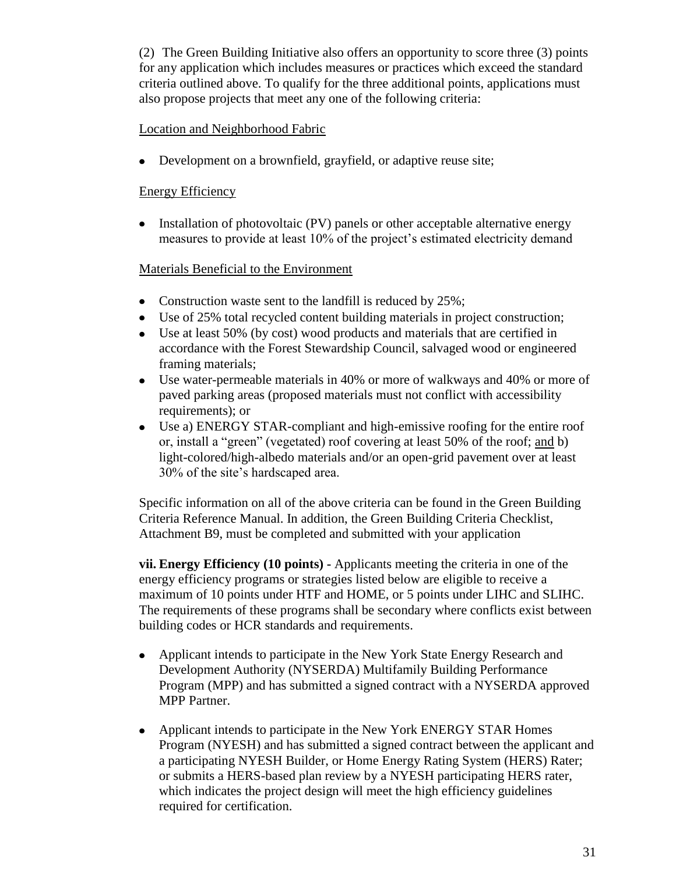(2) The Green Building Initiative also offers an opportunity to score three (3) points for any application which includes measures or practices which exceed the standard criteria outlined above. To qualify for the three additional points, applications must also propose projects that meet any one of the following criteria:

#### Location and Neighborhood Fabric

Development on a brownfield, grayfield, or adaptive reuse site;

### Energy Efficiency

• Installation of photovoltaic (PV) panels or other acceptable alternative energy measures to provide at least 10% of the project"s estimated electricity demand

### Materials Beneficial to the Environment

- Construction waste sent to the landfill is reduced by 25%;
- Use of 25% total recycled content building materials in project construction;
- Use at least 50% (by cost) wood products and materials that are certified in accordance with the Forest Stewardship Council, salvaged wood or engineered framing materials;
- Use water-permeable materials in 40% or more of walkways and 40% or more of paved parking areas (proposed materials must not conflict with accessibility requirements); or
- $\bullet$ Use a) ENERGY STAR-compliant and high-emissive roofing for the entire roof or, install a "green" (vegetated) roof covering at least 50% of the roof; and b) light-colored/high-albedo materials and/or an open-grid pavement over at least 30% of the site"s hardscaped area.

Specific information on all of the above criteria can be found in the Green Building Criteria Reference Manual. In addition, the Green Building Criteria Checklist, Attachment B9, must be completed and submitted with your application

**vii. Energy Efficiency (10 points) -** Applicants meeting the criteria in one of the energy efficiency programs or strategies listed below are eligible to receive a maximum of 10 points under HTF and HOME, or 5 points under LIHC and SLIHC. The requirements of these programs shall be secondary where conflicts exist between building codes or HCR standards and requirements.

- Applicant intends to participate in the New York State Energy Research and  $\bullet$ Development Authority (NYSERDA) Multifamily Building Performance Program (MPP) and has submitted a signed contract with a NYSERDA approved MPP Partner.
- $\bullet$ Applicant intends to participate in the New York ENERGY STAR Homes Program (NYESH) and has submitted a signed contract between the applicant and a participating NYESH Builder, or Home Energy Rating System (HERS) Rater; or submits a HERS-based plan review by a NYESH participating HERS rater, which indicates the project design will meet the high efficiency guidelines required for certification.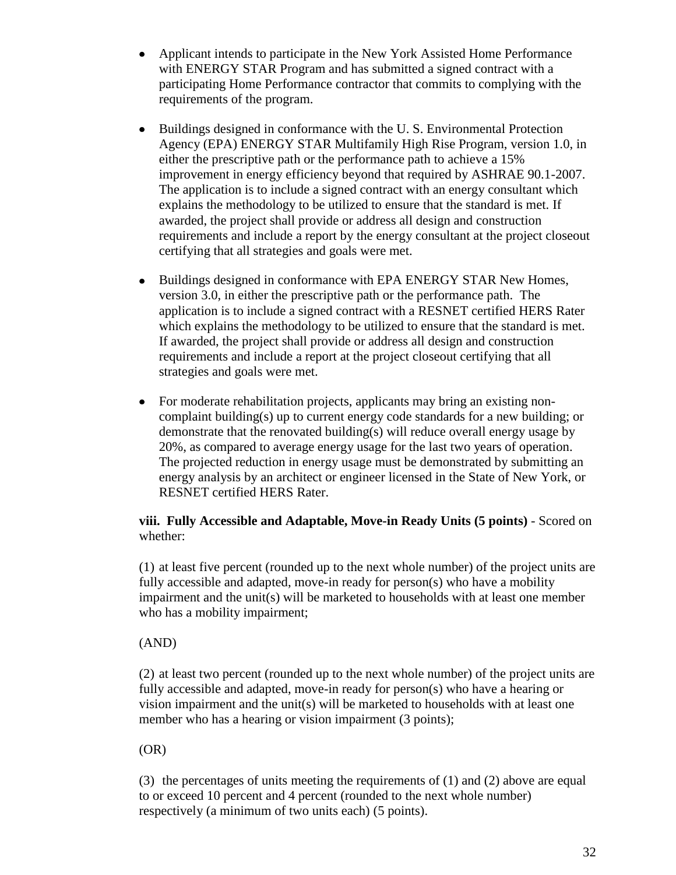- Applicant intends to participate in the New York Assisted Home Performance  $\bullet$ with ENERGY STAR Program and has submitted a signed contract with a participating Home Performance contractor that commits to complying with the requirements of the program.
- $\bullet$ Buildings designed in conformance with the U. S. Environmental Protection Agency (EPA) ENERGY STAR Multifamily High Rise Program, version 1.0, in either the prescriptive path or the performance path to achieve a 15% improvement in energy efficiency beyond that required by ASHRAE 90.1-2007. The application is to include a signed contract with an energy consultant which explains the methodology to be utilized to ensure that the standard is met. If awarded, the project shall provide or address all design and construction requirements and include a report by the energy consultant at the project closeout certifying that all strategies and goals were met.
- $\bullet$ Buildings designed in conformance with EPA ENERGY STAR New Homes, version 3.0, in either the prescriptive path or the performance path. The application is to include a signed contract with a RESNET certified HERS Rater which explains the methodology to be utilized to ensure that the standard is met. If awarded, the project shall provide or address all design and construction requirements and include a report at the project closeout certifying that all strategies and goals were met.
- For moderate rehabilitation projects, applicants may bring an existing non- $\bullet$ complaint building(s) up to current energy code standards for a new building; or demonstrate that the renovated building(s) will reduce overall energy usage by 20%, as compared to average energy usage for the last two years of operation. The projected reduction in energy usage must be demonstrated by submitting an energy analysis by an architect or engineer licensed in the State of New York, or RESNET certified HERS Rater.

### **viii. Fully Accessible and Adaptable, Move-in Ready Units (5 points)** - Scored on whether:

(1) at least five percent (rounded up to the next whole number) of the project units are fully accessible and adapted, move-in ready for person(s) who have a mobility impairment and the unit(s) will be marketed to households with at least one member who has a mobility impairment;

### (AND)

(2) at least two percent (rounded up to the next whole number) of the project units are fully accessible and adapted, move-in ready for person(s) who have a hearing or vision impairment and the unit(s) will be marketed to households with at least one member who has a hearing or vision impairment (3 points);

(OR)

(3) the percentages of units meeting the requirements of (1) and (2) above are equal to or exceed 10 percent and 4 percent (rounded to the next whole number) respectively (a minimum of two units each) (5 points).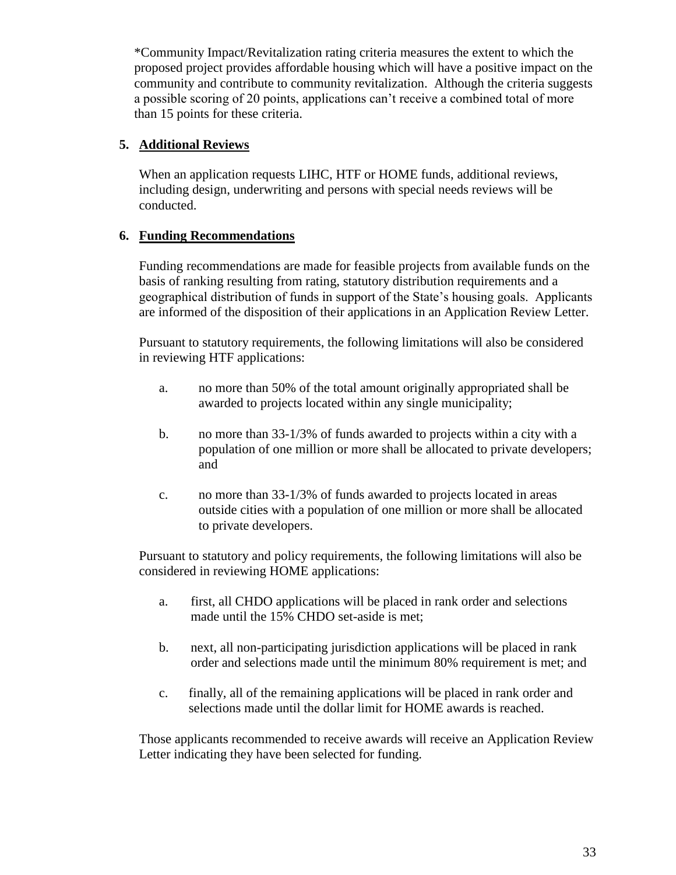\*Community Impact/Revitalization rating criteria measures the extent to which the proposed project provides affordable housing which will have a positive impact on the community and contribute to community revitalization. Although the criteria suggests a possible scoring of 20 points, applications can"t receive a combined total of more than 15 points for these criteria.

#### **5. Additional Reviews**

When an application requests LIHC, HTF or HOME funds, additional reviews, including design, underwriting and persons with special needs reviews will be conducted.

### **6. Funding Recommendations**

Funding recommendations are made for feasible projects from available funds on the basis of ranking resulting from rating, statutory distribution requirements and a geographical distribution of funds in support of the State"s housing goals. Applicants are informed of the disposition of their applications in an Application Review Letter.

Pursuant to statutory requirements, the following limitations will also be considered in reviewing HTF applications:

- a. no more than 50% of the total amount originally appropriated shall be awarded to projects located within any single municipality;
- b. no more than 33-1/3% of funds awarded to projects within a city with a population of one million or more shall be allocated to private developers; and
- c. no more than 33-1/3% of funds awarded to projects located in areas outside cities with a population of one million or more shall be allocated to private developers.

Pursuant to statutory and policy requirements, the following limitations will also be considered in reviewing HOME applications:

- a. first, all CHDO applications will be placed in rank order and selections made until the 15% CHDO set-aside is met;
- b. next, all non-participating jurisdiction applications will be placed in rank order and selections made until the minimum 80% requirement is met; and
- c. finally, all of the remaining applications will be placed in rank order and selections made until the dollar limit for HOME awards is reached.

Those applicants recommended to receive awards will receive an Application Review Letter indicating they have been selected for funding.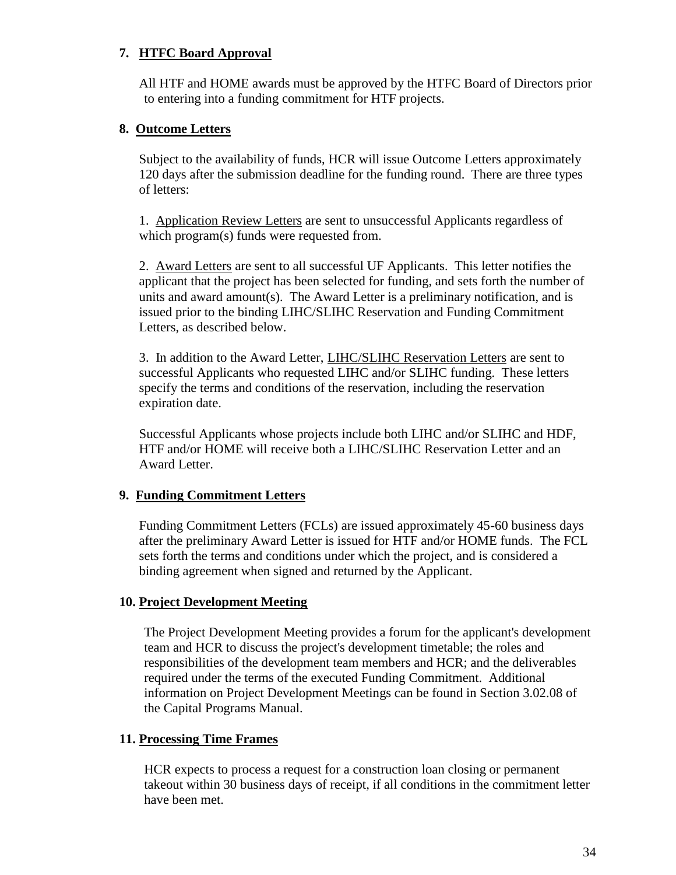### **7. HTFC Board Approval**

All HTF and HOME awards must be approved by the HTFC Board of Directors prior to entering into a funding commitment for HTF projects.

### **8. Outcome Letters**

Subject to the availability of funds, HCR will issue Outcome Letters approximately 120 days after the submission deadline for the funding round. There are three types of letters:

1. Application Review Letters are sent to unsuccessful Applicants regardless of which program(s) funds were requested from.

2. Award Letters are sent to all successful UF Applicants. This letter notifies the applicant that the project has been selected for funding, and sets forth the number of units and award amount(s). The Award Letter is a preliminary notification, and is issued prior to the binding LIHC/SLIHC Reservation and Funding Commitment Letters, as described below.

3. In addition to the Award Letter, LIHC/SLIHC Reservation Letters are sent to successful Applicants who requested LIHC and/or SLIHC funding. These letters specify the terms and conditions of the reservation, including the reservation expiration date.

Successful Applicants whose projects include both LIHC and/or SLIHC and HDF, HTF and/or HOME will receive both a LIHC/SLIHC Reservation Letter and an Award Letter.

### **9. Funding Commitment Letters**

Funding Commitment Letters (FCLs) are issued approximately 45-60 business days after the preliminary Award Letter is issued for HTF and/or HOME funds. The FCL sets forth the terms and conditions under which the project, and is considered a binding agreement when signed and returned by the Applicant.

### **10. Project Development Meeting**

The Project Development Meeting provides a forum for the applicant's development team and HCR to discuss the project's development timetable; the roles and responsibilities of the development team members and HCR; and the deliverables required under the terms of the executed Funding Commitment. Additional information on Project Development Meetings can be found in Section 3.02.08 of the Capital Programs Manual.

### **11. Processing Time Frames**

HCR expects to process a request for a construction loan closing or permanent takeout within 30 business days of receipt, if all conditions in the commitment letter have been met.